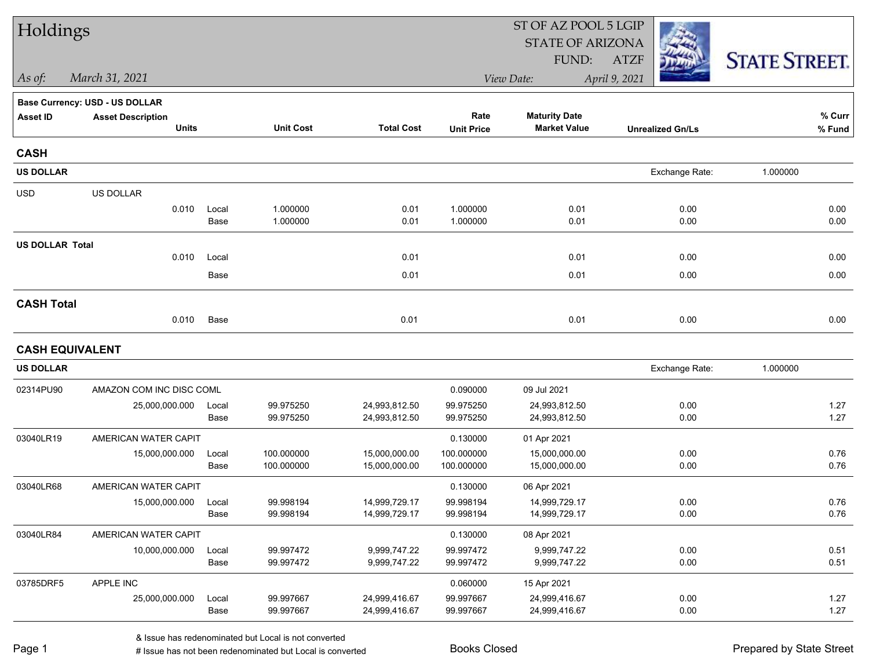| Holdings               |                                          |               |                      |                   |                           | ST OF AZ POOL 5 LGIP                        |                         |                      |  |
|------------------------|------------------------------------------|---------------|----------------------|-------------------|---------------------------|---------------------------------------------|-------------------------|----------------------|--|
|                        |                                          |               |                      |                   |                           | <b>STATE OF ARIZONA</b>                     |                         |                      |  |
|                        |                                          |               |                      |                   |                           | FUND:                                       | <b>ATZF</b>             | <b>STATE STREET.</b> |  |
| As of:                 | March 31, 2021                           |               |                      |                   |                           | View Date:                                  | April 9, 2021           |                      |  |
|                        | Base Currency: USD - US DOLLAR           |               |                      |                   |                           |                                             |                         |                      |  |
| <b>Asset ID</b>        | <b>Asset Description</b><br><b>Units</b> |               | <b>Unit Cost</b>     | <b>Total Cost</b> | Rate<br><b>Unit Price</b> | <b>Maturity Date</b><br><b>Market Value</b> | <b>Unrealized Gn/Ls</b> | % Curr<br>% Fund     |  |
| <b>CASH</b>            |                                          |               |                      |                   |                           |                                             |                         |                      |  |
| <b>US DOLLAR</b>       |                                          |               |                      |                   |                           |                                             | Exchange Rate:          | 1.000000             |  |
| <b>USD</b>             | US DOLLAR                                |               |                      |                   |                           |                                             |                         |                      |  |
|                        | 0.010                                    | Local<br>Base | 1.000000<br>1.000000 | 0.01<br>0.01      | 1.000000<br>1.000000      | 0.01<br>0.01                                | 0.00<br>0.00            | 0.00<br>0.00         |  |
| <b>US DOLLAR Total</b> |                                          |               |                      |                   |                           |                                             |                         |                      |  |
|                        | 0.010                                    | Local         |                      | 0.01              |                           | 0.01                                        | 0.00                    | 0.00                 |  |
|                        |                                          | Base          |                      | 0.01              |                           | 0.01                                        | 0.00                    | 0.00                 |  |
| <b>CASH Total</b>      |                                          |               |                      |                   |                           |                                             |                         |                      |  |
|                        | 0.010                                    | Base          |                      | 0.01              |                           | 0.01                                        | 0.00                    | 0.00                 |  |
| <b>CASH EQUIVALENT</b> |                                          |               |                      |                   |                           |                                             |                         |                      |  |
| <b>US DOLLAR</b>       |                                          |               |                      |                   |                           |                                             | Exchange Rate:          | 1.000000             |  |
| 02314PU90              | AMAZON COM INC DISC COML                 |               |                      |                   | 0.090000                  | 09 Jul 2021                                 |                         |                      |  |
|                        | 25,000,000.000                           | Local         | 99.975250            | 24,993,812.50     | 99.975250                 | 24,993,812.50                               | 0.00                    | 1.27                 |  |
|                        |                                          | Base          | 99.975250            | 24,993,812.50     | 99.975250                 | 24,993,812.50                               | 0.00                    | 1.27                 |  |
| 03040LR19              | AMERICAN WATER CAPIT                     |               |                      |                   | 0.130000                  | 01 Apr 2021                                 |                         |                      |  |
|                        | 15,000,000.000                           | Local         | 100.000000           | 15,000,000.00     | 100.000000                | 15,000,000.00                               | 0.00                    | 0.76                 |  |
|                        |                                          | Base          | 100.000000           | 15,000,000.00     | 100.000000                | 15,000,000.00                               | 0.00                    | 0.76                 |  |
| 03040LR68              | AMERICAN WATER CAPIT                     |               |                      |                   | 0.130000                  | 06 Apr 2021                                 |                         |                      |  |
|                        | 15,000,000.000                           | Local         | 99.998194            | 14,999,729.17     | 99.998194                 | 14,999,729.17                               | 0.00                    | 0.76                 |  |
|                        |                                          | Base          | 99.998194            | 14,999,729.17     | 99.998194                 | 14,999,729.17                               | 0.00                    | 0.76                 |  |
| 03040LR84              | AMERICAN WATER CAPIT                     |               |                      |                   | 0.130000                  | 08 Apr 2021                                 |                         |                      |  |
|                        | 10,000,000.000                           | Local         | 99.997472            | 9,999,747.22      | 99.997472                 | 9,999,747.22                                | 0.00                    | 0.51                 |  |
|                        |                                          | Base          | 99.997472            | 9,999,747.22      | 99.997472                 | 9,999,747.22                                | 0.00                    | 0.51                 |  |
| 03785DRF5              | APPLE INC                                |               |                      |                   | 0.060000                  | 15 Apr 2021                                 |                         |                      |  |
|                        | 25,000,000.000                           | Local         | 99.997667            | 24,999,416.67     | 99.997667                 | 24,999,416.67                               | 0.00                    | 1.27                 |  |
|                        |                                          | Base          | 99.997667            | 24,999,416.67     | 99.997667                 | 24,999,416.67                               | 0.00                    | 1.27                 |  |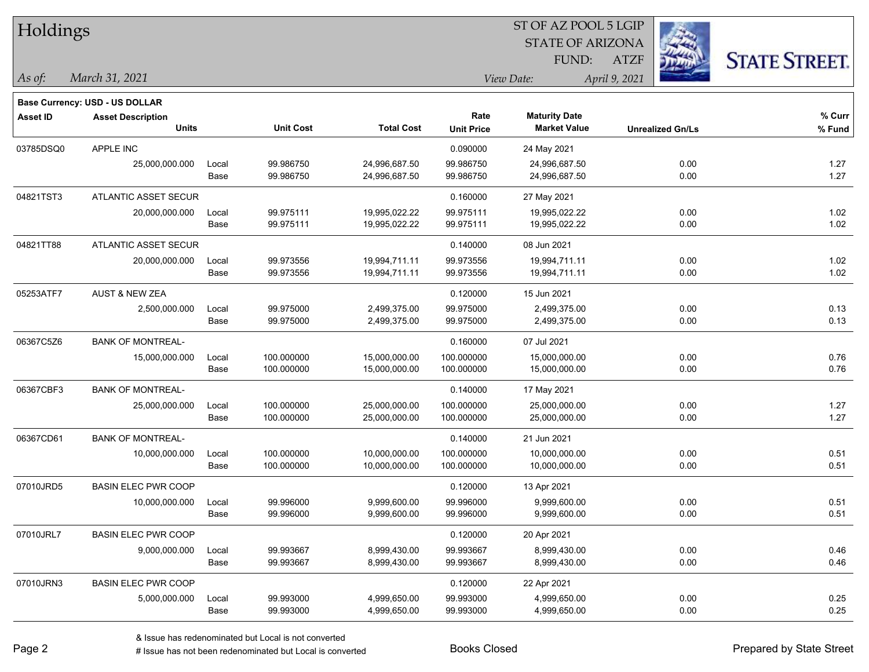| Holdings        |                                          |       |                  |                   | ST OF AZ POOL 5 LGIP      |                                             |                         |                      |  |  |
|-----------------|------------------------------------------|-------|------------------|-------------------|---------------------------|---------------------------------------------|-------------------------|----------------------|--|--|
|                 |                                          |       |                  |                   |                           | <b>STATE OF ARIZONA</b>                     |                         |                      |  |  |
|                 |                                          |       |                  |                   |                           | FUND:                                       | <b>ATZF</b>             | <b>STATE STREET.</b> |  |  |
| As of:          | March 31, 2021                           |       |                  |                   |                           | View Date:                                  | April 9, 2021           |                      |  |  |
|                 |                                          |       |                  |                   |                           |                                             |                         |                      |  |  |
|                 | <b>Base Currency: USD - US DOLLAR</b>    |       |                  |                   |                           |                                             |                         |                      |  |  |
| <b>Asset ID</b> | <b>Asset Description</b><br><b>Units</b> |       | <b>Unit Cost</b> | <b>Total Cost</b> | Rate<br><b>Unit Price</b> | <b>Maturity Date</b><br><b>Market Value</b> | <b>Unrealized Gn/Ls</b> | $%$ Curr<br>% Fund   |  |  |
|                 |                                          |       |                  |                   |                           |                                             |                         |                      |  |  |
| 03785DSQ0       | APPLE INC                                |       |                  |                   | 0.090000                  | 24 May 2021                                 |                         |                      |  |  |
|                 | 25,000,000.000                           | Local | 99.986750        | 24,996,687.50     | 99.986750                 | 24,996,687.50                               | 0.00                    | 1.27                 |  |  |
|                 |                                          | Base  | 99.986750        | 24,996,687.50     | 99.986750                 | 24,996,687.50                               | 0.00                    | 1.27                 |  |  |
| 04821TST3       | ATLANTIC ASSET SECUR                     |       |                  |                   | 0.160000                  | 27 May 2021                                 |                         |                      |  |  |
|                 | 20,000,000.000                           | Local | 99.975111        | 19,995,022.22     | 99.975111                 | 19,995,022.22                               | 0.00                    | 1.02                 |  |  |
|                 |                                          | Base  | 99.975111        | 19,995,022.22     | 99.975111                 | 19,995,022.22                               | 0.00                    | 1.02                 |  |  |
| 04821TT88       | ATLANTIC ASSET SECUR                     |       |                  |                   | 0.140000                  | 08 Jun 2021                                 |                         |                      |  |  |
|                 | 20,000,000.000                           | Local | 99.973556        | 19,994,711.11     | 99.973556                 | 19,994,711.11                               | 0.00                    | 1.02                 |  |  |
|                 |                                          | Base  | 99.973556        | 19,994,711.11     | 99.973556                 | 19,994,711.11                               | 0.00                    | 1.02                 |  |  |
| 05253ATF7       | <b>AUST &amp; NEW ZEA</b>                |       |                  |                   | 0.120000                  | 15 Jun 2021                                 |                         |                      |  |  |
|                 | 2,500,000.000                            | Local | 99.975000        | 2,499,375.00      | 99.975000                 | 2,499,375.00                                | 0.00                    | 0.13                 |  |  |
|                 |                                          | Base  | 99.975000        | 2,499,375.00      | 99.975000                 | 2,499,375.00                                | 0.00                    | 0.13                 |  |  |
| 06367C5Z6       | <b>BANK OF MONTREAL-</b>                 |       |                  |                   | 0.160000                  | 07 Jul 2021                                 |                         |                      |  |  |
|                 | 15,000,000.000                           | Local | 100.000000       | 15,000,000.00     | 100.000000                | 15,000,000.00                               | 0.00                    | 0.76                 |  |  |
|                 |                                          | Base  | 100.000000       | 15,000,000.00     | 100.000000                | 15,000,000.00                               | 0.00                    | 0.76                 |  |  |
| 06367CBF3       | <b>BANK OF MONTREAL-</b>                 |       |                  |                   | 0.140000                  | 17 May 2021                                 |                         |                      |  |  |
|                 | 25,000,000.000                           | Local | 100.000000       | 25,000,000.00     | 100.000000                | 25,000,000.00                               | 0.00                    | 1.27                 |  |  |
|                 |                                          | Base  | 100.000000       | 25,000,000.00     | 100.000000                | 25,000,000.00                               | 0.00                    | 1.27                 |  |  |
| 06367CD61       | <b>BANK OF MONTREAL-</b>                 |       |                  |                   | 0.140000                  | 21 Jun 2021                                 |                         |                      |  |  |
|                 | 10,000,000.000                           | Local | 100.000000       | 10,000,000.00     | 100.000000                | 10,000,000.00                               | 0.00                    | 0.51                 |  |  |
|                 |                                          | Base  | 100.000000       | 10,000,000.00     | 100.000000                | 10,000,000.00                               | 0.00                    | 0.51                 |  |  |
| 07010JRD5       | <b>BASIN ELEC PWR COOP</b>               |       |                  |                   | 0.120000                  | 13 Apr 2021                                 |                         |                      |  |  |
|                 | 10,000,000.000                           | Local | 99.996000        | 9,999,600.00      | 99.996000                 | 9,999,600.00                                | 0.00                    | 0.51                 |  |  |
|                 |                                          | Base  | 99.996000        | 9,999,600.00      | 99.996000                 | 9,999,600.00                                | 0.00                    | 0.51                 |  |  |
| 07010JRL7       | <b>BASIN ELEC PWR COOP</b>               |       |                  |                   | 0.120000                  | 20 Apr 2021                                 |                         |                      |  |  |
|                 | 9,000,000.000                            | Local | 99.993667        | 8,999,430.00      | 99.993667                 | 8,999,430.00                                | 0.00                    | 0.46                 |  |  |
|                 |                                          | Base  | 99.993667        | 8,999,430.00      | 99.993667                 | 8,999,430.00                                | 0.00                    | 0.46                 |  |  |
| 07010JRN3       | <b>BASIN ELEC PWR COOP</b>               |       |                  |                   | 0.120000                  | 22 Apr 2021                                 |                         |                      |  |  |
|                 | 5,000,000.000                            | Local | 99.993000        | 4,999,650.00      | 99.993000                 | 4,999,650.00                                | 0.00                    | 0.25                 |  |  |
|                 |                                          | Base  | 99.993000        | 4,999,650.00      | 99.993000                 | 4,999,650.00                                | 0.00                    | 0.25                 |  |  |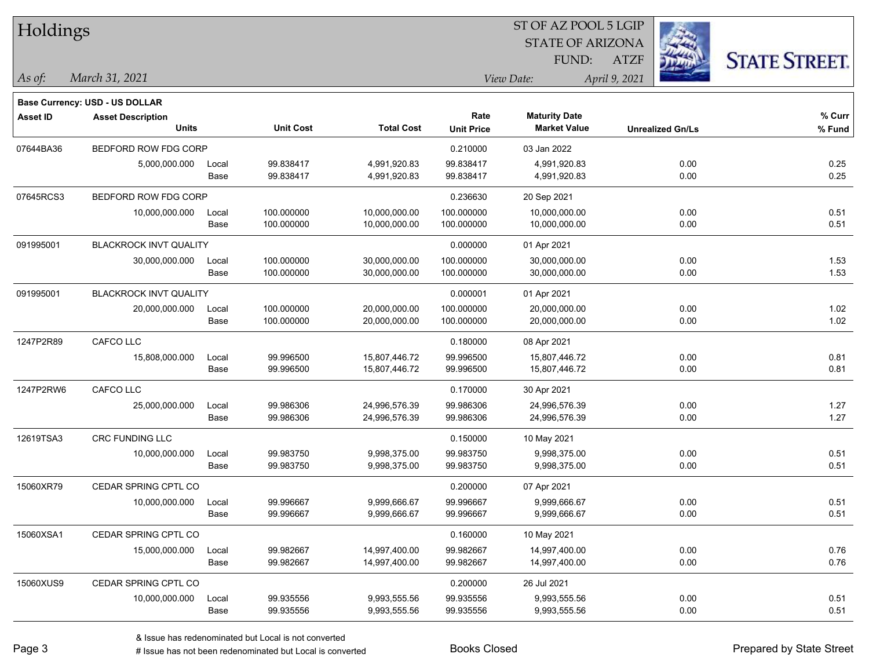| Holdings        |                                |       |                  |                   | ST OF AZ POOL 5 LGIP |                         |                         |      |                      |  |
|-----------------|--------------------------------|-------|------------------|-------------------|----------------------|-------------------------|-------------------------|------|----------------------|--|
|                 |                                |       |                  |                   |                      | <b>STATE OF ARIZONA</b> |                         |      |                      |  |
|                 |                                |       |                  |                   |                      | FUND:                   | <b>ATZF</b>             |      | <b>STATE STREET.</b> |  |
| As of:          | March 31, 2021                 |       |                  |                   |                      | View Date:              | April 9, 2021           |      |                      |  |
|                 | Base Currency: USD - US DOLLAR |       |                  |                   |                      |                         |                         |      |                      |  |
| <b>Asset ID</b> | <b>Asset Description</b>       |       |                  |                   | Rate                 | <b>Maturity Date</b>    |                         |      | % Curr               |  |
|                 | <b>Units</b>                   |       | <b>Unit Cost</b> | <b>Total Cost</b> | <b>Unit Price</b>    | <b>Market Value</b>     | <b>Unrealized Gn/Ls</b> |      | % Fund               |  |
| 07644BA36       | BEDFORD ROW FDG CORP           |       |                  |                   | 0.210000             | 03 Jan 2022             |                         |      |                      |  |
|                 | 5,000,000.000                  | Local | 99.838417        | 4,991,920.83      | 99.838417            | 4,991,920.83            |                         | 0.00 | 0.25                 |  |
|                 |                                | Base  | 99.838417        | 4,991,920.83      | 99.838417            | 4,991,920.83            |                         | 0.00 | 0.25                 |  |
| 07645RCS3       | BEDFORD ROW FDG CORP           |       |                  |                   | 0.236630             | 20 Sep 2021             |                         |      |                      |  |
|                 | 10,000,000.000                 | Local | 100.000000       | 10,000,000.00     | 100.000000           | 10,000,000.00           |                         | 0.00 | 0.51                 |  |
|                 |                                | Base  | 100.000000       | 10,000,000.00     | 100.000000           | 10,000,000.00           |                         | 0.00 | 0.51                 |  |
| 091995001       | <b>BLACKROCK INVT QUALITY</b>  |       |                  |                   | 0.000000             | 01 Apr 2021             |                         |      |                      |  |
|                 | 30,000,000.000                 | Local | 100.000000       | 30,000,000.00     | 100.000000           | 30,000,000.00           |                         | 0.00 | 1.53                 |  |
|                 |                                | Base  | 100.000000       | 30,000,000.00     | 100.000000           | 30,000,000.00           |                         | 0.00 | 1.53                 |  |
| 091995001       | <b>BLACKROCK INVT QUALITY</b>  |       |                  |                   | 0.000001             | 01 Apr 2021             |                         |      |                      |  |
|                 | 20,000,000.000                 | Local | 100.000000       | 20,000,000.00     | 100.000000           | 20,000,000.00           |                         | 0.00 | 1.02                 |  |
|                 |                                | Base  | 100.000000       | 20,000,000.00     | 100.000000           | 20,000,000.00           |                         | 0.00 | 1.02                 |  |
| 1247P2R89       | CAFCO LLC                      |       |                  |                   | 0.180000             | 08 Apr 2021             |                         |      |                      |  |
|                 | 15,808,000.000                 | Local | 99.996500        | 15,807,446.72     | 99.996500            | 15,807,446.72           |                         | 0.00 | 0.81                 |  |
|                 |                                | Base  | 99.996500        | 15,807,446.72     | 99.996500            | 15,807,446.72           |                         | 0.00 | 0.81                 |  |
| 1247P2RW6       | CAFCO LLC                      |       |                  |                   | 0.170000             | 30 Apr 2021             |                         |      |                      |  |
|                 | 25,000,000.000                 | Local | 99.986306        | 24,996,576.39     | 99.986306            | 24,996,576.39           |                         | 0.00 | 1.27                 |  |
|                 |                                | Base  | 99.986306        | 24,996,576.39     | 99.986306            | 24,996,576.39           |                         | 0.00 | 1.27                 |  |
| 12619TSA3       | CRC FUNDING LLC                |       |                  |                   | 0.150000             | 10 May 2021             |                         |      |                      |  |
|                 | 10,000,000.000                 | Local | 99.983750        | 9,998,375.00      | 99.983750            | 9,998,375.00            |                         | 0.00 | 0.51                 |  |
|                 |                                | Base  | 99.983750        | 9,998,375.00      | 99.983750            | 9,998,375.00            |                         | 0.00 | 0.51                 |  |
| 15060XR79       | CEDAR SPRING CPTL CO           |       |                  |                   | 0.200000             | 07 Apr 2021             |                         |      |                      |  |
|                 | 10,000,000.000                 | Local | 99.996667        | 9,999,666.67      | 99.996667            | 9,999,666.67            |                         | 0.00 | 0.51                 |  |
|                 |                                | Base  | 99.996667        | 9,999,666.67      | 99.996667            | 9,999,666.67            |                         | 0.00 | 0.51                 |  |
| 15060XSA1       | CEDAR SPRING CPTL CO           |       |                  |                   | 0.160000             | 10 May 2021             |                         |      |                      |  |
|                 | 15,000,000.000                 | Local | 99.982667        | 14,997,400.00     | 99.982667            | 14,997,400.00           |                         | 0.00 | 0.76                 |  |
|                 |                                | Base  | 99.982667        | 14,997,400.00     | 99.982667            | 14,997,400.00           |                         | 0.00 | 0.76                 |  |
| 15060XUS9       | CEDAR SPRING CPTL CO           |       |                  |                   | 0.200000             | 26 Jul 2021             |                         |      |                      |  |
|                 | 10,000,000.000                 | Local | 99.935556        | 9,993,555.56      | 99.935556            | 9,993,555.56            |                         | 0.00 | 0.51                 |  |
|                 |                                | Base  | 99.935556        | 9,993,555.56      | 99.935556            | 9,993,555.56            |                         | 0.00 | 0.51                 |  |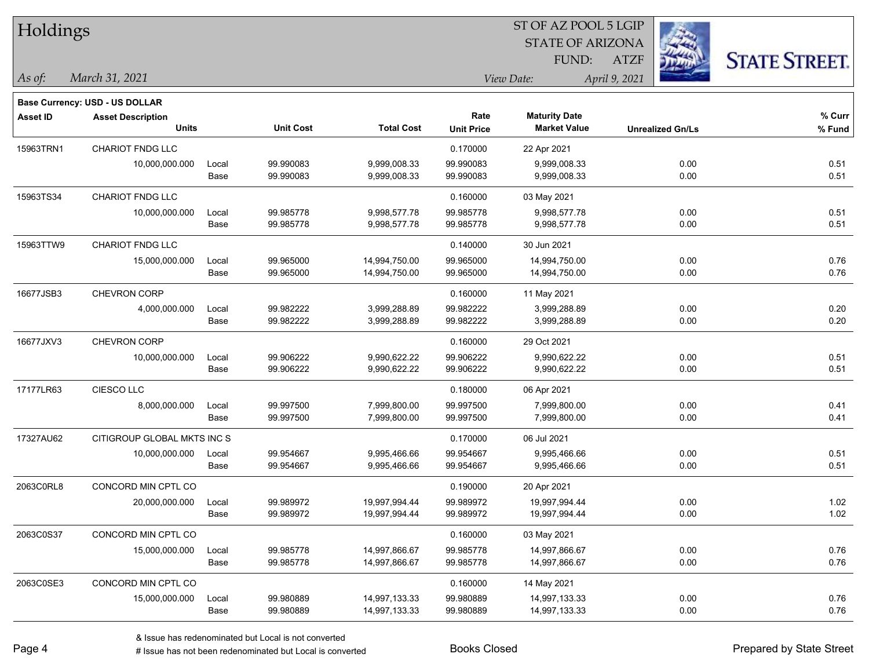| <b>Holdings</b> |                                       |       |                  |                   | 51 OF AZ POOL 5 LGIP |                         |                         |                      |  |  |
|-----------------|---------------------------------------|-------|------------------|-------------------|----------------------|-------------------------|-------------------------|----------------------|--|--|
|                 |                                       |       |                  |                   |                      | <b>STATE OF ARIZONA</b> | i.                      |                      |  |  |
|                 |                                       |       |                  |                   |                      | FUND:                   | <b>ATZF</b>             | <b>STATE STREET.</b> |  |  |
| As of:          | March 31, 2021                        |       |                  |                   |                      | View Date:              | April 9, 2021           |                      |  |  |
|                 | <b>Base Currency: USD - US DOLLAR</b> |       |                  |                   |                      |                         |                         |                      |  |  |
| <b>Asset ID</b> | <b>Asset Description</b>              |       |                  |                   | Rate                 | <b>Maturity Date</b>    |                         | % Curr               |  |  |
|                 | <b>Units</b>                          |       | <b>Unit Cost</b> | <b>Total Cost</b> | <b>Unit Price</b>    | <b>Market Value</b>     | <b>Unrealized Gn/Ls</b> | % Fund               |  |  |
| 15963TRN1       | <b>CHARIOT FNDG LLC</b>               |       |                  |                   | 0.170000             | 22 Apr 2021             |                         |                      |  |  |
|                 | 10,000,000.000                        | Local | 99.990083        | 9,999,008.33      | 99.990083            | 9,999,008.33            | 0.00                    | 0.51                 |  |  |
|                 |                                       | Base  | 99.990083        | 9,999,008.33      | 99.990083            | 9,999,008.33            | 0.00                    | 0.51                 |  |  |
| 15963TS34       | <b>CHARIOT FNDG LLC</b>               |       |                  |                   | 0.160000             | 03 May 2021             |                         |                      |  |  |
|                 | 10,000,000.000                        | Local | 99.985778        | 9,998,577.78      | 99.985778            | 9,998,577.78            | 0.00                    | 0.51                 |  |  |
|                 |                                       | Base  | 99.985778        | 9,998,577.78      | 99.985778            | 9,998,577.78            | 0.00                    | 0.51                 |  |  |
| 15963TTW9       | CHARIOT FNDG LLC                      |       |                  |                   | 0.140000             | 30 Jun 2021             |                         |                      |  |  |
|                 | 15,000,000.000                        | Local | 99.965000        | 14,994,750.00     | 99.965000            | 14,994,750.00           | 0.00                    | 0.76                 |  |  |
|                 |                                       | Base  | 99.965000        | 14,994,750.00     | 99.965000            | 14,994,750.00           | 0.00                    | 0.76                 |  |  |
| 16677JSB3       | CHEVRON CORP                          |       |                  |                   | 0.160000             | 11 May 2021             |                         |                      |  |  |
|                 | 4,000,000.000                         | Local | 99.982222        | 3,999,288.89      | 99.982222            | 3,999,288.89            | 0.00                    | 0.20                 |  |  |
|                 |                                       | Base  | 99.982222        | 3,999,288.89      | 99.982222            | 3,999,288.89            | 0.00                    | 0.20                 |  |  |
| 16677JXV3       | <b>CHEVRON CORP</b>                   |       |                  |                   | 0.160000             | 29 Oct 2021             |                         |                      |  |  |
|                 | 10,000,000.000                        | Local | 99.906222        | 9,990,622.22      | 99.906222            | 9,990,622.22            | 0.00                    | 0.51                 |  |  |
|                 |                                       | Base  | 99.906222        | 9,990,622.22      | 99.906222            | 9,990,622.22            | 0.00                    | 0.51                 |  |  |
| 17177LR63       | CIESCO LLC                            |       |                  |                   | 0.180000             | 06 Apr 2021             |                         |                      |  |  |
|                 | 8,000,000.000                         | Local | 99.997500        | 7,999,800.00      | 99.997500            | 7,999,800.00            | 0.00                    | 0.41                 |  |  |
|                 |                                       | Base  | 99.997500        | 7,999,800.00      | 99.997500            | 7,999,800.00            | 0.00                    | 0.41                 |  |  |
| 17327AU62       | CITIGROUP GLOBAL MKTS INC S           |       |                  |                   | 0.170000             | 06 Jul 2021             |                         |                      |  |  |
|                 | 10,000,000.000                        | Local | 99.954667        | 9,995,466.66      | 99.954667            | 9,995,466.66            | 0.00                    | 0.51                 |  |  |
|                 |                                       | Base  | 99.954667        | 9,995,466.66      | 99.954667            | 9,995,466.66            | 0.00                    | 0.51                 |  |  |
| 2063C0RL8       | CONCORD MIN CPTL CO                   |       |                  |                   | 0.190000             | 20 Apr 2021             |                         |                      |  |  |
|                 | 20,000,000.000                        | Local | 99.989972        | 19,997,994.44     | 99.989972            | 19,997,994.44           | 0.00                    | 1.02                 |  |  |
|                 |                                       | Base  | 99.989972        | 19,997,994.44     | 99.989972            | 19,997,994.44           | 0.00                    | 1.02                 |  |  |
| 2063C0S37       | CONCORD MIN CPTL CO                   |       |                  |                   | 0.160000             | 03 May 2021             |                         |                      |  |  |
|                 | 15,000,000.000                        | Local | 99.985778        | 14,997,866.67     | 99.985778            | 14,997,866.67           | 0.00                    | 0.76                 |  |  |
|                 |                                       | Base  | 99.985778        | 14,997,866.67     | 99.985778            | 14,997,866.67           | 0.00                    | 0.76                 |  |  |
| 2063C0SE3       | CONCORD MIN CPTL CO                   |       |                  |                   | 0.160000             | 14 May 2021             |                         |                      |  |  |
|                 | 15,000,000.000                        | Local | 99.980889        | 14,997,133.33     | 99.980889            | 14,997,133.33           | 0.00                    | 0.76                 |  |  |
|                 |                                       | Base  | 99.980889        | 14,997,133.33     | 99.980889            | 14,997,133.33           | 0.00                    | 0.76                 |  |  |

 $\overline{S}$   $\overline{S}$   $\overline{S}$   $\overline{S}$   $\overline{S}$   $\overline{S}$   $\overline{S}$   $\overline{S}$   $\overline{S}$   $\overline{S}$   $\overline{S}$   $\overline{S}$   $\overline{S}$   $\overline{S}$   $\overline{S}$   $\overline{S}$   $\overline{S}$   $\overline{S}$   $\overline{S}$   $\overline{S}$   $\overline{S}$   $\overline{S}$   $\overline{S}$   $\overline{S}$   $\overline{$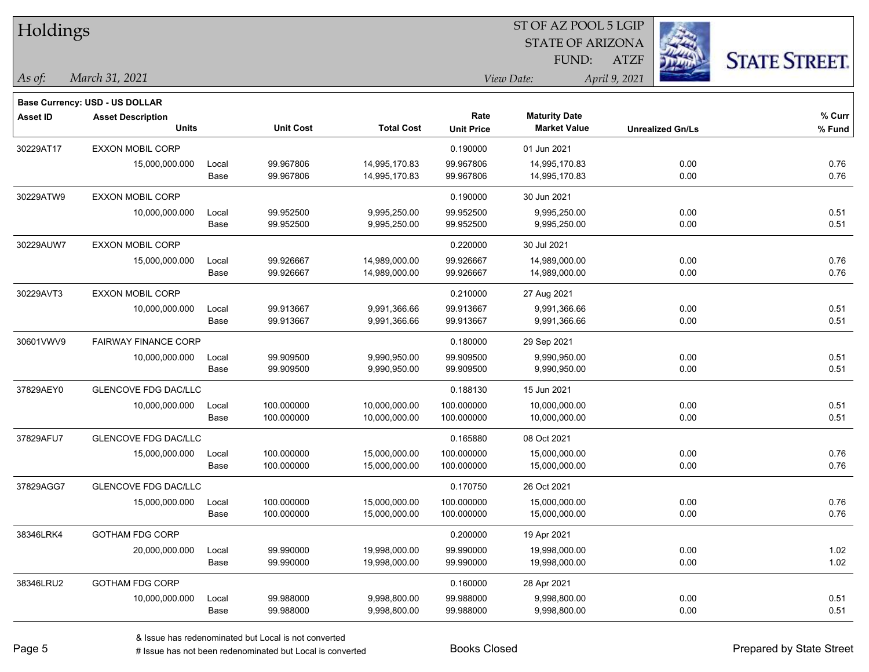|                          |                                                   |                                                                                                                   |                   |                   |                      |                                                      | <b>STATE STREET.</b>                                                                    |  |  |
|--------------------------|---------------------------------------------------|-------------------------------------------------------------------------------------------------------------------|-------------------|-------------------|----------------------|------------------------------------------------------|-----------------------------------------------------------------------------------------|--|--|
| March 31, 2021           |                                                   |                                                                                                                   |                   |                   |                      |                                                      |                                                                                         |  |  |
|                          |                                                   |                                                                                                                   |                   |                   |                      |                                                      |                                                                                         |  |  |
| <b>Asset Description</b> |                                                   |                                                                                                                   |                   | Rate              | <b>Maturity Date</b> |                                                      | % Curr                                                                                  |  |  |
| <b>Units</b>             |                                                   | <b>Unit Cost</b>                                                                                                  | <b>Total Cost</b> | <b>Unit Price</b> | <b>Market Value</b>  | <b>Unrealized Gn/Ls</b>                              | % Fund                                                                                  |  |  |
| <b>EXXON MOBIL CORP</b>  |                                                   |                                                                                                                   |                   | 0.190000          | 01 Jun 2021          |                                                      |                                                                                         |  |  |
| 15,000,000.000           | Local                                             | 99.967806                                                                                                         | 14,995,170.83     | 99.967806         | 14,995,170.83        | 0.00                                                 | 0.76                                                                                    |  |  |
|                          | Base                                              | 99.967806                                                                                                         | 14,995,170.83     | 99.967806         | 14,995,170.83        | 0.00                                                 | 0.76                                                                                    |  |  |
| <b>EXXON MOBIL CORP</b>  |                                                   |                                                                                                                   |                   | 0.190000          | 30 Jun 2021          |                                                      |                                                                                         |  |  |
| 10,000,000.000           | Local                                             | 99.952500                                                                                                         | 9,995,250.00      | 99.952500         | 9,995,250.00         | 0.00                                                 | 0.51                                                                                    |  |  |
|                          | Base                                              |                                                                                                                   |                   |                   |                      |                                                      | 0.51                                                                                    |  |  |
| EXXON MOBIL CORP         |                                                   |                                                                                                                   |                   | 0.220000          | 30 Jul 2021          |                                                      |                                                                                         |  |  |
| 15,000,000.000           | Local                                             | 99.926667                                                                                                         | 14,989,000.00     | 99.926667         | 14,989,000.00        | 0.00                                                 | 0.76                                                                                    |  |  |
|                          | Base                                              | 99.926667                                                                                                         | 14,989,000.00     | 99.926667         | 14,989,000.00        | 0.00                                                 | 0.76                                                                                    |  |  |
| EXXON MOBIL CORP         |                                                   |                                                                                                                   |                   | 0.210000          | 27 Aug 2021          |                                                      |                                                                                         |  |  |
| 10,000,000.000           | Local                                             | 99.913667                                                                                                         | 9,991,366.66      | 99.913667         | 9,991,366.66         | 0.00                                                 | 0.51                                                                                    |  |  |
|                          | Base                                              | 99.913667                                                                                                         | 9,991,366.66      | 99.913667         | 9,991,366.66         | 0.00                                                 | 0.51                                                                                    |  |  |
|                          |                                                   |                                                                                                                   |                   | 0.180000          | 29 Sep 2021          |                                                      |                                                                                         |  |  |
| 10,000,000.000           | Local                                             | 99.909500                                                                                                         | 9,990,950.00      | 99.909500         | 9,990,950.00         | 0.00                                                 | 0.51                                                                                    |  |  |
|                          | Base                                              | 99.909500                                                                                                         | 9,990,950.00      | 99.909500         | 9,990,950.00         | 0.00                                                 | 0.51                                                                                    |  |  |
|                          |                                                   |                                                                                                                   |                   | 0.188130          | 15 Jun 2021          |                                                      |                                                                                         |  |  |
| 10,000,000.000           | Local                                             | 100.000000                                                                                                        | 10,000,000.00     | 100.000000        | 10,000,000.00        | 0.00                                                 | 0.51                                                                                    |  |  |
|                          | Base                                              | 100.000000                                                                                                        | 10,000,000.00     | 100.000000        | 10,000,000.00        | 0.00                                                 | 0.51                                                                                    |  |  |
|                          |                                                   |                                                                                                                   |                   | 0.165880          | 08 Oct 2021          |                                                      |                                                                                         |  |  |
| 15,000,000.000           | Local                                             | 100.000000                                                                                                        | 15,000,000.00     | 100.000000        | 15,000,000.00        | 0.00                                                 | 0.76                                                                                    |  |  |
|                          | Base                                              | 100.000000                                                                                                        | 15,000,000.00     | 100.000000        | 15,000,000.00        | 0.00                                                 | 0.76                                                                                    |  |  |
|                          |                                                   |                                                                                                                   |                   | 0.170750          | 26 Oct 2021          |                                                      |                                                                                         |  |  |
| 15,000,000.000           | Local                                             | 100.000000                                                                                                        | 15,000,000.00     | 100.000000        | 15,000,000.00        | 0.00                                                 | 0.76                                                                                    |  |  |
|                          | Base                                              | 100.000000                                                                                                        | 15,000,000.00     | 100.000000        |                      | 0.00                                                 | 0.76                                                                                    |  |  |
| <b>GOTHAM FDG CORP</b>   |                                                   |                                                                                                                   |                   | 0.200000          | 19 Apr 2021          |                                                      |                                                                                         |  |  |
| 20,000,000.000           | Local                                             | 99.990000                                                                                                         | 19,998,000.00     | 99.990000         | 19,998,000.00        | 0.00                                                 | 1.02                                                                                    |  |  |
|                          | Base                                              | 99.990000                                                                                                         | 19,998,000.00     | 99.990000         | 19,998,000.00        | 0.00                                                 | 1.02                                                                                    |  |  |
| <b>GOTHAM FDG CORP</b>   |                                                   |                                                                                                                   |                   | 0.160000          | 28 Apr 2021          |                                                      |                                                                                         |  |  |
| 10,000,000.000           | Local                                             | 99.988000                                                                                                         | 9,998,800.00      | 99.988000         | 9,998,800.00         | 0.00                                                 | 0.51                                                                                    |  |  |
|                          | Base                                              | 99.988000                                                                                                         | 9,998,800.00      | 99.988000         | 9,998,800.00         | 0.00                                                 | 0.51                                                                                    |  |  |
|                          | Holdings<br><b>Base Currency: USD - US DOLLAR</b> | <b>FAIRWAY FINANCE CORP</b><br>GLENCOVE FDG DAC/LLC<br><b>GLENCOVE FDG DAC/LLC</b><br><b>GLENCOVE FDG DAC/LLC</b> | 99.952500         | 9,995,250.00      | 99.952500            | FUND:<br>View Date:<br>9,995,250.00<br>15,000,000.00 | 51 OF AZ POOL 5 LGIP<br><b>STATE OF ARIZONA</b><br><b>ATZF</b><br>April 9, 2021<br>0.00 |  |  |

 $\overline{\text{SE ADO}}$   $\overline{\text{SVD}}$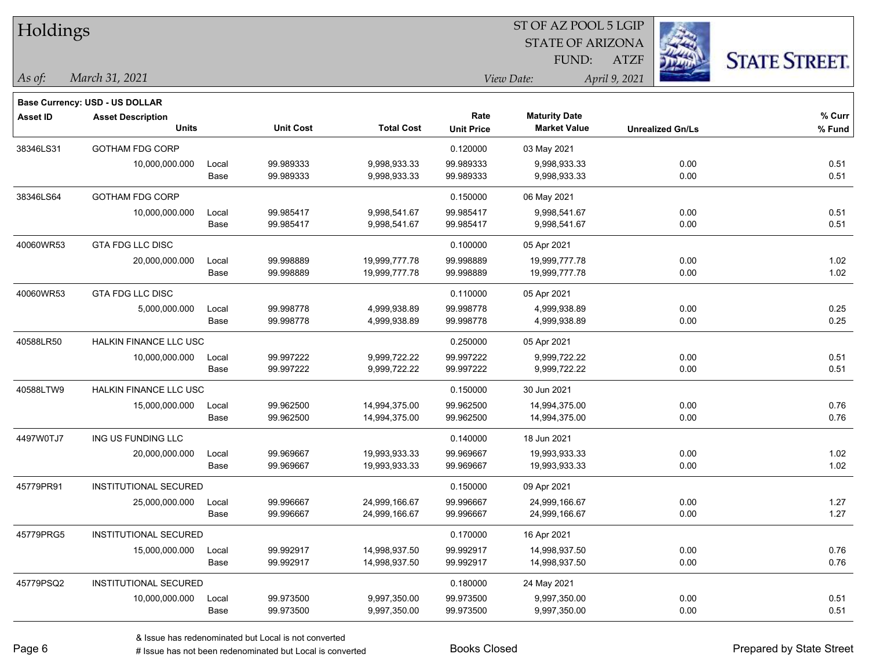| Holdings        |                                       |       |                  |                   |                   | 51 OF AZ POOL 5 LGIP    |                         |                      |
|-----------------|---------------------------------------|-------|------------------|-------------------|-------------------|-------------------------|-------------------------|----------------------|
|                 |                                       |       |                  |                   |                   | <b>STATE OF ARIZONA</b> |                         |                      |
|                 |                                       |       |                  |                   |                   | FUND:                   | <b>ATZF</b>             | <b>STATE STREET.</b> |
| As of:          | March 31, 2021                        |       |                  |                   |                   | View Date:              | April 9, 2021           |                      |
|                 | <b>Base Currency: USD - US DOLLAR</b> |       |                  |                   |                   |                         |                         |                      |
| <b>Asset ID</b> | <b>Asset Description</b>              |       |                  |                   | Rate              | <b>Maturity Date</b>    |                         | % Curr               |
|                 | <b>Units</b>                          |       | <b>Unit Cost</b> | <b>Total Cost</b> | <b>Unit Price</b> | <b>Market Value</b>     | <b>Unrealized Gn/Ls</b> | $%$ Fund             |
| 38346LS31       | <b>GOTHAM FDG CORP</b>                |       |                  |                   | 0.120000          | 03 May 2021             |                         |                      |
|                 | 10,000,000.000                        | Local | 99.989333        | 9,998,933.33      | 99.989333         | 9,998,933.33            | 0.00                    | 0.51                 |
|                 |                                       | Base  | 99.989333        | 9,998,933.33      | 99.989333         | 9,998,933.33            | 0.00                    | 0.51                 |
| 38346LS64       | <b>GOTHAM FDG CORP</b>                |       |                  |                   | 0.150000          | 06 May 2021             |                         |                      |
|                 | 10,000,000.000                        | Local | 99.985417        | 9,998,541.67      | 99.985417         | 9,998,541.67            | 0.00                    | 0.51                 |
|                 |                                       | Base  | 99.985417        | 9,998,541.67      | 99.985417         | 9,998,541.67            | 0.00                    | 0.51                 |
| 40060WR53       | <b>GTA FDG LLC DISC</b>               |       |                  |                   | 0.100000          | 05 Apr 2021             |                         |                      |
|                 | 20,000,000.000                        | Local | 99.998889        | 19,999,777.78     | 99.998889         | 19,999,777.78           | 0.00                    | 1.02                 |
|                 |                                       | Base  | 99.998889        | 19,999,777.78     | 99.998889         | 19,999,777.78           | 0.00                    | 1.02                 |
| 40060WR53       | GTA FDG LLC DISC                      |       |                  |                   | 0.110000          | 05 Apr 2021             |                         |                      |
|                 | 5,000,000.000                         | Local | 99.998778        | 4,999,938.89      | 99.998778         | 4,999,938.89            | 0.00                    | 0.25                 |
|                 |                                       | Base  | 99.998778        | 4,999,938.89      | 99.998778         | 4,999,938.89            | 0.00                    | 0.25                 |
| 40588LR50       | <b>HALKIN FINANCE LLC USC</b>         |       |                  |                   | 0.250000          | 05 Apr 2021             |                         |                      |
|                 | 10,000,000.000                        | Local | 99.997222        | 9,999,722.22      | 99.997222         | 9,999,722.22            | 0.00                    | 0.51                 |
|                 |                                       | Base  | 99.997222        | 9,999,722.22      | 99.997222         | 9,999,722.22            | 0.00                    | 0.51                 |
| 40588LTW9       | HALKIN FINANCE LLC USC                |       |                  |                   | 0.150000          | 30 Jun 2021             |                         |                      |
|                 | 15,000,000.000                        | Local | 99.962500        | 14,994,375.00     | 99.962500         | 14,994,375.00           | 0.00                    | 0.76                 |
|                 |                                       | Base  | 99.962500        | 14,994,375.00     | 99.962500         | 14,994,375.00           | 0.00                    | 0.76                 |
| 4497W0TJ7       | ING US FUNDING LLC                    |       |                  |                   | 0.140000          | 18 Jun 2021             |                         |                      |
|                 | 20,000,000.000                        | Local | 99.969667        | 19,993,933.33     | 99.969667         | 19,993,933.33           | 0.00                    | 1.02                 |
|                 |                                       | Base  | 99.969667        | 19,993,933.33     | 99.969667         | 19,993,933.33           | 0.00                    | 1.02                 |
| 45779PR91       | INSTITUTIONAL SECURED                 |       |                  |                   | 0.150000          | 09 Apr 2021             |                         |                      |
|                 | 25,000,000.000                        | Local | 99.996667        | 24,999,166.67     | 99.996667         | 24,999,166.67           | 0.00                    | 1.27                 |
|                 |                                       | Base  | 99.996667        | 24,999,166.67     | 99.996667         | 24,999,166.67           | 0.00                    | 1.27                 |
| 45779PRG5       | INSTITUTIONAL SECURED                 |       |                  |                   | 0.170000          | 16 Apr 2021             |                         |                      |
|                 | 15,000,000.000                        | Local | 99.992917        | 14,998,937.50     | 99.992917         | 14,998,937.50           | 0.00                    | 0.76                 |
|                 |                                       | Base  | 99.992917        | 14,998,937.50     | 99.992917         | 14,998,937.50           | 0.00                    | 0.76                 |
| 45779PSQ2       | INSTITUTIONAL SECURED                 |       |                  |                   | 0.180000          | 24 May 2021             |                         |                      |
|                 | 10,000,000.000                        | Local | 99.973500        | 9,997,350.00      | 99.973500         | 9,997,350.00            | 0.00                    | 0.51                 |
|                 |                                       | Base  | 99.973500        | 9,997,350.00      | 99.973500         | 9,997,350.00            | 0.00                    | 0.51                 |

 $\overline{S}$   $\overline{S}$   $\overline{S}$   $\overline{S}$   $\overline{S}$   $\overline{S}$   $\overline{S}$   $\overline{S}$   $\overline{S}$   $\overline{S}$   $\overline{S}$   $\overline{S}$   $\overline{S}$   $\overline{S}$   $\overline{S}$   $\overline{S}$   $\overline{S}$   $\overline{S}$   $\overline{S}$   $\overline{S}$   $\overline{S}$   $\overline{S}$   $\overline{S}$   $\overline{S}$   $\overline{$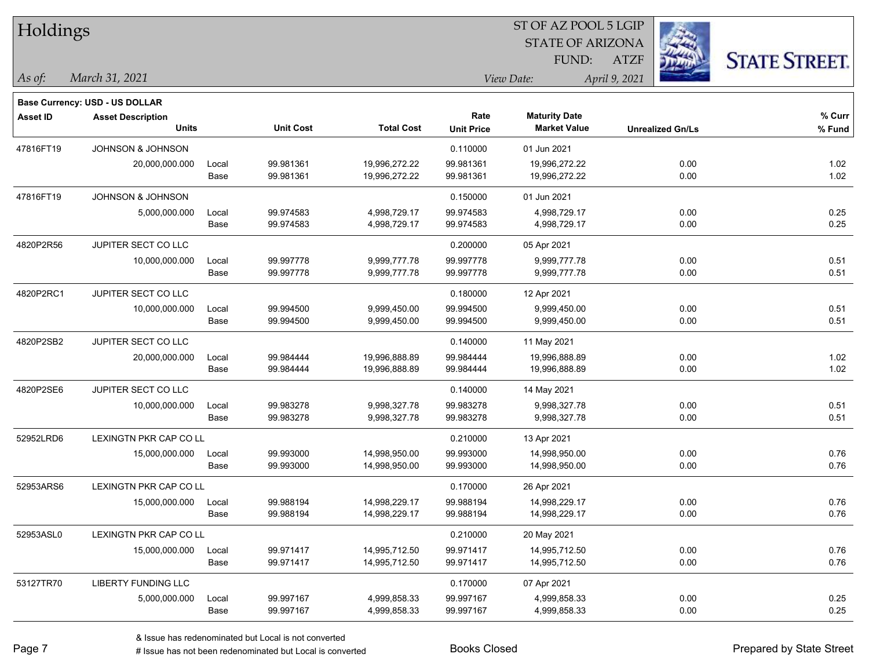| Holdings        |                                       |       |                  |                   | ST OF AZ POOL 5 LGIP |                         |                         |                      |  |  |
|-----------------|---------------------------------------|-------|------------------|-------------------|----------------------|-------------------------|-------------------------|----------------------|--|--|
|                 |                                       |       |                  |                   |                      | <b>STATE OF ARIZONA</b> |                         |                      |  |  |
|                 |                                       |       |                  |                   |                      | FUND:                   | <b>ATZF</b>             | <b>STATE STREET.</b> |  |  |
| As of:          | March 31, 2021                        |       |                  |                   |                      | View Date:              | April 9, 2021           |                      |  |  |
|                 | <b>Base Currency: USD - US DOLLAR</b> |       |                  |                   |                      |                         |                         |                      |  |  |
| <b>Asset ID</b> | <b>Asset Description</b>              |       |                  |                   | Rate                 | <b>Maturity Date</b>    |                         | % Curr               |  |  |
|                 | <b>Units</b>                          |       | <b>Unit Cost</b> | <b>Total Cost</b> | <b>Unit Price</b>    | <b>Market Value</b>     | <b>Unrealized Gn/Ls</b> | % Fund               |  |  |
| 47816FT19       | JOHNSON & JOHNSON                     |       |                  |                   | 0.110000             | 01 Jun 2021             |                         |                      |  |  |
|                 | 20,000,000.000                        | Local | 99.981361        | 19,996,272.22     | 99.981361            | 19,996,272.22           | 0.00                    | 1.02                 |  |  |
|                 |                                       | Base  | 99.981361        | 19,996,272.22     | 99.981361            | 19,996,272.22           | 0.00                    | 1.02                 |  |  |
| 47816FT19       | <b>JOHNSON &amp; JOHNSON</b>          |       |                  |                   | 0.150000             | 01 Jun 2021             |                         |                      |  |  |
|                 | 5,000,000.000                         | Local | 99.974583        | 4,998,729.17      | 99.974583            | 4,998,729.17            | 0.00                    | 0.25                 |  |  |
|                 |                                       | Base  | 99.974583        | 4,998,729.17      | 99.974583            | 4,998,729.17            | 0.00                    | 0.25                 |  |  |
| 4820P2R56       | JUPITER SECT CO LLC                   |       |                  |                   | 0.200000             | 05 Apr 2021             |                         |                      |  |  |
|                 | 10,000,000.000                        | Local | 99.997778        | 9,999,777.78      | 99.997778            | 9,999,777.78            | 0.00                    | 0.51                 |  |  |
|                 |                                       | Base  | 99.997778        | 9,999,777.78      | 99.997778            | 9,999,777.78            | 0.00                    | 0.51                 |  |  |
| 4820P2RC1       | JUPITER SECT CO LLC                   |       |                  |                   | 0.180000             | 12 Apr 2021             |                         |                      |  |  |
|                 | 10,000,000.000                        | Local | 99.994500        | 9,999,450.00      | 99.994500            | 9,999,450.00            | 0.00                    | 0.51                 |  |  |
|                 |                                       | Base  | 99.994500        | 9,999,450.00      | 99.994500            | 9,999,450.00            | 0.00                    | 0.51                 |  |  |
| 4820P2SB2       | JUPITER SECT CO LLC                   |       |                  |                   | 0.140000             | 11 May 2021             |                         |                      |  |  |
|                 | 20,000,000.000                        | Local | 99.984444        | 19,996,888.89     | 99.984444            | 19,996,888.89           | 0.00                    | 1.02                 |  |  |
|                 |                                       | Base  | 99.984444        | 19,996,888.89     | 99.984444            | 19,996,888.89           | 0.00                    | 1.02                 |  |  |
| 4820P2SE6       | JUPITER SECT CO LLC                   |       |                  |                   | 0.140000             | 14 May 2021             |                         |                      |  |  |
|                 | 10,000,000.000                        | Local | 99.983278        | 9,998,327.78      | 99.983278            | 9,998,327.78            | 0.00                    | 0.51                 |  |  |
|                 |                                       | Base  | 99.983278        | 9,998,327.78      | 99.983278            | 9,998,327.78            | 0.00                    | 0.51                 |  |  |
| 52952LRD6       | LEXINGTN PKR CAP CO LL                |       |                  |                   | 0.210000             | 13 Apr 2021             |                         |                      |  |  |
|                 | 15,000,000.000                        | Local | 99.993000        | 14,998,950.00     | 99.993000            | 14,998,950.00           | 0.00                    | 0.76                 |  |  |
|                 |                                       | Base  | 99.993000        | 14,998,950.00     | 99.993000            | 14,998,950.00           | 0.00                    | 0.76                 |  |  |
| 52953ARS6       | LEXINGTN PKR CAP CO LL                |       |                  |                   | 0.170000             | 26 Apr 2021             |                         |                      |  |  |
|                 | 15,000,000.000                        | Local | 99.988194        | 14,998,229.17     | 99.988194            | 14,998,229.17           | 0.00                    | 0.76                 |  |  |
|                 |                                       | Base  | 99.988194        | 14,998,229.17     | 99.988194            | 14,998,229.17           | 0.00                    | 0.76                 |  |  |
| 52953ASL0       | LEXINGTN PKR CAP CO LL                |       |                  |                   | 0.210000             | 20 May 2021             |                         |                      |  |  |
|                 | 15,000,000.000                        | Local | 99.971417        | 14,995,712.50     | 99.971417            | 14,995,712.50           | 0.00                    | 0.76                 |  |  |
|                 |                                       | Base  | 99.971417        | 14,995,712.50     | 99.971417            | 14,995,712.50           | 0.00                    | 0.76                 |  |  |
| 53127TR70       | LIBERTY FUNDING LLC                   |       |                  |                   | 0.170000             | 07 Apr 2021             |                         |                      |  |  |
|                 | 5,000,000.000                         | Local | 99.997167        | 4,999,858.33      | 99.997167            | 4,999,858.33            | 0.00                    | 0.25                 |  |  |
|                 |                                       | Base  | 99.997167        | 4,999,858.33      | 99.997167            | 4,999,858.33            | 0.00                    | 0.25                 |  |  |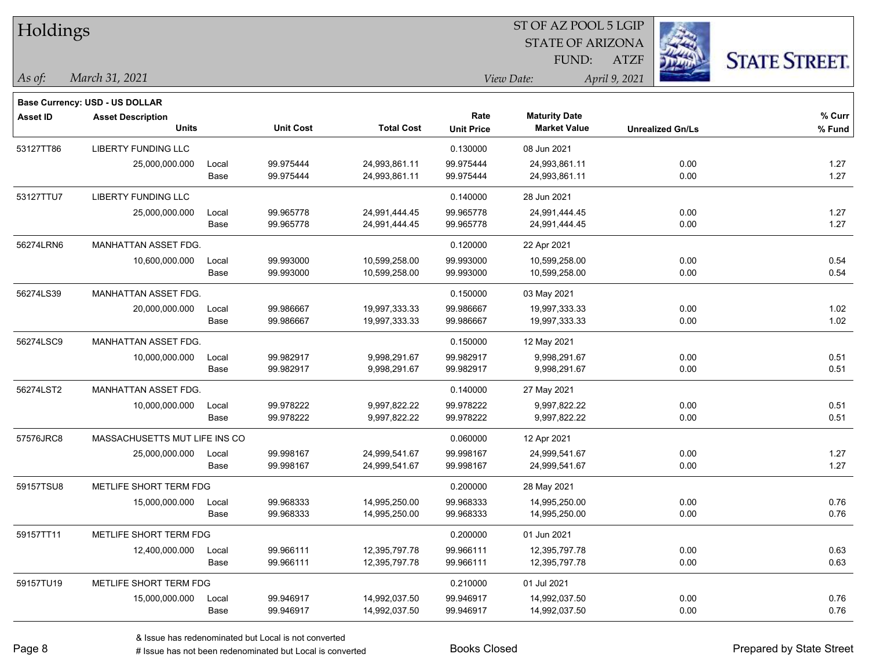| Holdings        |                                       |       |                  |                   |                   | <b>STATE OF ARIZONA</b> |                         |                      |
|-----------------|---------------------------------------|-------|------------------|-------------------|-------------------|-------------------------|-------------------------|----------------------|
|                 |                                       |       |                  |                   |                   | FUND:                   | <b>ATZF</b>             | <b>STATE STREET.</b> |
| As of:          | March 31, 2021                        |       |                  |                   |                   | View Date:              | April 9, 2021           |                      |
|                 | <b>Base Currency: USD - US DOLLAR</b> |       |                  |                   |                   |                         |                         |                      |
| <b>Asset ID</b> | <b>Asset Description</b>              |       |                  |                   | Rate              | <b>Maturity Date</b>    |                         | % Curr               |
|                 | <b>Units</b>                          |       | <b>Unit Cost</b> | <b>Total Cost</b> | <b>Unit Price</b> | <b>Market Value</b>     | <b>Unrealized Gn/Ls</b> | % Fund               |
| 53127TT86       | <b>LIBERTY FUNDING LLC</b>            |       |                  |                   | 0.130000          | 08 Jun 2021             |                         |                      |
|                 | 25,000,000.000                        | Local | 99.975444        | 24,993,861.11     | 99.975444         | 24,993,861.11           | 0.00                    | 1.27                 |
|                 |                                       | Base  | 99.975444        | 24,993,861.11     | 99.975444         | 24,993,861.11           | 0.00                    | 1.27                 |
| 53127TTU7       | <b>LIBERTY FUNDING LLC</b>            |       |                  |                   | 0.140000          | 28 Jun 2021             |                         |                      |
|                 | 25,000,000.000                        | Local | 99.965778        | 24,991,444.45     | 99.965778         | 24,991,444.45           | 0.00                    | 1.27                 |
|                 |                                       | Base  | 99.965778        | 24,991,444.45     | 99.965778         | 24,991,444.45           | 0.00                    | 1.27                 |
| 56274LRN6       | MANHATTAN ASSET FDG.                  |       |                  |                   | 0.120000          | 22 Apr 2021             |                         |                      |
|                 | 10,600,000.000                        | Local | 99.993000        | 10,599,258.00     | 99.993000         | 10,599,258.00           | 0.00                    | 0.54                 |
|                 |                                       | Base  | 99.993000        | 10,599,258.00     | 99.993000         | 10,599,258.00           | 0.00                    | 0.54                 |
| 56274LS39       | MANHATTAN ASSET FDG.                  |       |                  |                   | 0.150000          | 03 May 2021             |                         |                      |
|                 | 20,000,000.000                        | Local | 99.986667        | 19,997,333.33     | 99.986667         | 19,997,333.33           | 0.00                    | 1.02                 |
|                 |                                       | Base  | 99.986667        | 19,997,333.33     | 99.986667         | 19,997,333.33           | 0.00                    | 1.02                 |
| 56274LSC9       | MANHATTAN ASSET FDG.                  |       |                  |                   | 0.150000          | 12 May 2021             |                         |                      |
|                 | 10,000,000.000                        | Local | 99.982917        | 9,998,291.67      | 99.982917         | 9,998,291.67            | 0.00                    | 0.51                 |
|                 |                                       | Base  | 99.982917        | 9,998,291.67      | 99.982917         | 9,998,291.67            | 0.00                    | 0.51                 |
| 56274LST2       | MANHATTAN ASSET FDG.                  |       |                  |                   | 0.140000          | 27 May 2021             |                         |                      |
|                 | 10,000,000.000                        | Local | 99.978222        | 9,997,822.22      | 99.978222         | 9,997,822.22            | 0.00                    | 0.51                 |
|                 |                                       | Base  | 99.978222        | 9,997,822.22      | 99.978222         | 9,997,822.22            | 0.00                    | 0.51                 |
| 57576JRC8       | MASSACHUSETTS MUT LIFE INS CO         |       |                  |                   | 0.060000          | 12 Apr 2021             |                         |                      |
|                 | 25,000,000.000                        | Local | 99.998167        | 24,999,541.67     | 99.998167         | 24,999,541.67           | 0.00                    | 1.27                 |
|                 |                                       | Base  | 99.998167        | 24,999,541.67     | 99.998167         | 24,999,541.67           | 0.00                    | 1.27                 |
| 59157TSU8       | METLIFE SHORT TERM FDG                |       |                  |                   | 0.200000          | 28 May 2021             |                         |                      |
|                 | 15,000,000.000                        | Local | 99.968333        | 14,995,250.00     | 99.968333         | 14,995,250.00           | 0.00                    | 0.76                 |
|                 |                                       | Base  | 99.968333        | 14,995,250.00     | 99.968333         | 14,995,250.00           | 0.00                    | 0.76                 |
| 59157TT11       | METLIFE SHORT TERM FDG                |       |                  |                   | 0.200000          | 01 Jun 2021             |                         |                      |
|                 | 12,400,000.000                        | Local | 99.966111        | 12,395,797.78     | 99.966111         | 12,395,797.78           | 0.00                    | 0.63                 |
|                 |                                       | Base  | 99.966111        | 12,395,797.78     | 99.966111         | 12,395,797.78           | 0.00                    | 0.63                 |
| 59157TU19       | METLIFE SHORT TERM FDG                |       |                  |                   | 0.210000          | 01 Jul 2021             |                         |                      |
|                 | 15,000,000.000                        | Local | 99.946917        | 14,992,037.50     | 99.946917         | 14,992,037.50           | 0.00                    | 0.76                 |
|                 |                                       | Base  | 99.946917        | 14,992,037.50     | 99.946917         | 14,992,037.50           | 0.00                    | 0.76                 |

 $\overline{S}$   $\overline{S}$   $\overline{S}$   $\overline{S}$   $\overline{S}$   $\overline{S}$   $\overline{S}$   $\overline{S}$   $\overline{S}$   $\overline{S}$   $\overline{S}$   $\overline{S}$   $\overline{S}$   $\overline{S}$   $\overline{S}$   $\overline{S}$   $\overline{S}$   $\overline{S}$   $\overline{S}$   $\overline{S}$   $\overline{S}$   $\overline{S}$   $\overline{S}$   $\overline{S}$   $\overline{$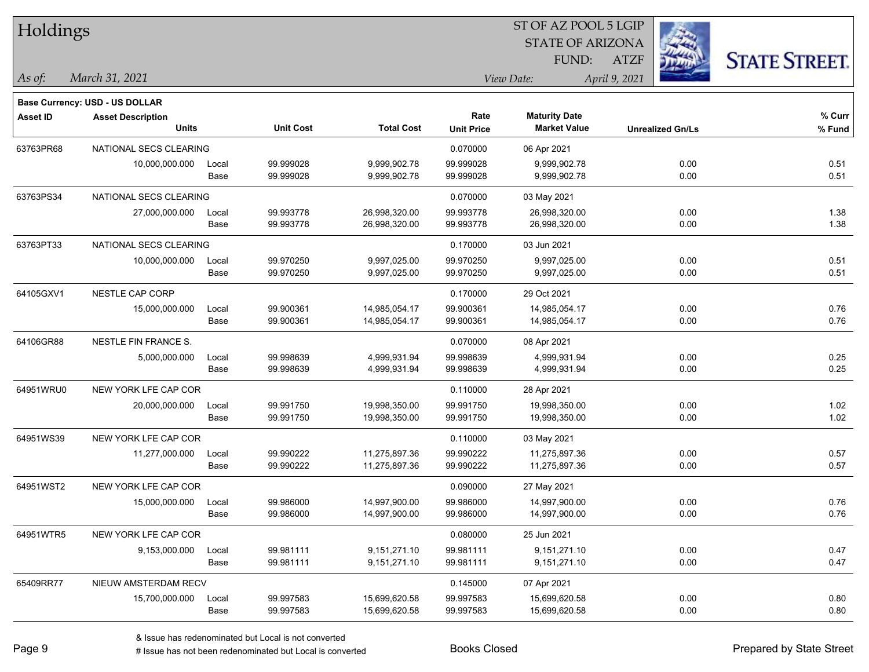| Holdings        |                                |       |                  |                   |                   | ST OF AZ POOL 5 LGIP    |                         |                      |
|-----------------|--------------------------------|-------|------------------|-------------------|-------------------|-------------------------|-------------------------|----------------------|
|                 |                                |       |                  |                   |                   | <b>STATE OF ARIZONA</b> |                         |                      |
|                 |                                |       |                  |                   |                   | FUND:                   | <b>ATZF</b>             | <b>STATE STREET.</b> |
| As of:          | March 31, 2021                 |       |                  |                   |                   | View Date:              | April 9, 2021           |                      |
|                 | Base Currency: USD - US DOLLAR |       |                  |                   |                   |                         |                         |                      |
| <b>Asset ID</b> | <b>Asset Description</b>       |       |                  |                   | Rate              | <b>Maturity Date</b>    |                         | % Curr               |
|                 | <b>Units</b>                   |       | <b>Unit Cost</b> | <b>Total Cost</b> | <b>Unit Price</b> | <b>Market Value</b>     | <b>Unrealized Gn/Ls</b> | % Fund               |
| 63763PR68       | NATIONAL SECS CLEARING         |       |                  |                   | 0.070000          | 06 Apr 2021             |                         |                      |
|                 | 10,000,000.000                 | Local | 99.999028        | 9,999,902.78      | 99.999028         | 9,999,902.78            | 0.00                    | 0.51                 |
|                 |                                | Base  | 99.999028        | 9,999,902.78      | 99.999028         | 9,999,902.78            | 0.00                    | 0.51                 |
| 63763PS34       | NATIONAL SECS CLEARING         |       |                  |                   | 0.070000          | 03 May 2021             |                         |                      |
|                 | 27,000,000.000                 | Local | 99.993778        | 26,998,320.00     | 99.993778         | 26,998,320.00           | 0.00                    | 1.38                 |
|                 |                                | Base  | 99.993778        | 26,998,320.00     | 99.993778         | 26,998,320.00           | 0.00                    | 1.38                 |
| 63763PT33       | NATIONAL SECS CLEARING         |       |                  |                   | 0.170000          | 03 Jun 2021             |                         |                      |
|                 | 10,000,000.000                 | Local | 99.970250        | 9,997,025.00      | 99.970250         | 9,997,025.00            | 0.00                    | 0.51                 |
|                 |                                | Base  | 99.970250        | 9,997,025.00      | 99.970250         | 9,997,025.00            | 0.00                    | 0.51                 |
| 64105GXV1       | NESTLE CAP CORP                |       |                  |                   | 0.170000          | 29 Oct 2021             |                         |                      |
|                 | 15,000,000.000                 | Local | 99.900361        | 14,985,054.17     | 99.900361         | 14,985,054.17           | 0.00                    | 0.76                 |
|                 |                                | Base  | 99.900361        | 14,985,054.17     | 99.900361         | 14,985,054.17           | 0.00                    | 0.76                 |
| 64106GR88       | NESTLE FIN FRANCE S.           |       |                  |                   | 0.070000          | 08 Apr 2021             |                         |                      |
|                 | 5,000,000.000                  | Local | 99.998639        | 4,999,931.94      | 99.998639         | 4,999,931.94            | 0.00                    | 0.25                 |
|                 |                                | Base  | 99.998639        | 4,999,931.94      | 99.998639         | 4,999,931.94            | 0.00                    | 0.25                 |
| 64951WRU0       | NEW YORK LFE CAP COR           |       |                  |                   | 0.110000          | 28 Apr 2021             |                         |                      |
|                 | 20,000,000.000                 | Local | 99.991750        | 19,998,350.00     | 99.991750         | 19,998,350.00           | 0.00                    | 1.02                 |
|                 |                                | Base  | 99.991750        | 19,998,350.00     | 99.991750         | 19,998,350.00           | 0.00                    | 1.02                 |
| 64951WS39       | NEW YORK LFE CAP COR           |       |                  |                   | 0.110000          | 03 May 2021             |                         |                      |
|                 | 11,277,000.000                 | Local | 99.990222        | 11,275,897.36     | 99.990222         | 11,275,897.36           | 0.00                    | 0.57                 |
|                 |                                | Base  | 99.990222        | 11,275,897.36     | 99.990222         | 11,275,897.36           | 0.00                    | 0.57                 |
| 64951WST2       | NEW YORK LFE CAP COR           |       |                  |                   | 0.090000          | 27 May 2021             |                         |                      |
|                 | 15,000,000.000                 | Local | 99.986000        | 14,997,900.00     | 99.986000         | 14,997,900.00           | 0.00                    | 0.76                 |
|                 |                                | Base  | 99.986000        | 14,997,900.00     | 99.986000         | 14,997,900.00           | 0.00                    | 0.76                 |
| 64951WTR5       | NEW YORK LFE CAP COR           |       |                  |                   | 0.080000          | 25 Jun 2021             |                         |                      |
|                 | 9,153,000.000                  | Local | 99.981111        | 9,151,271.10      | 99.981111         | 9,151,271.10            | 0.00                    | 0.47                 |
|                 |                                | Base  | 99.981111        | 9,151,271.10      | 99.981111         | 9,151,271.10            | 0.00                    | 0.47                 |
| 65409RR77       | NIEUW AMSTERDAM RECV           |       |                  |                   | 0.145000          | 07 Apr 2021             |                         |                      |
|                 | 15,700,000.000                 | Local | 99.997583        | 15,699,620.58     | 99.997583         | 15,699,620.58           | 0.00                    | 0.80                 |
|                 |                                | Base  | 99.997583        | 15,699,620.58     | 99.997583         | 15,699,620.58           | 0.00                    | 0.80                 |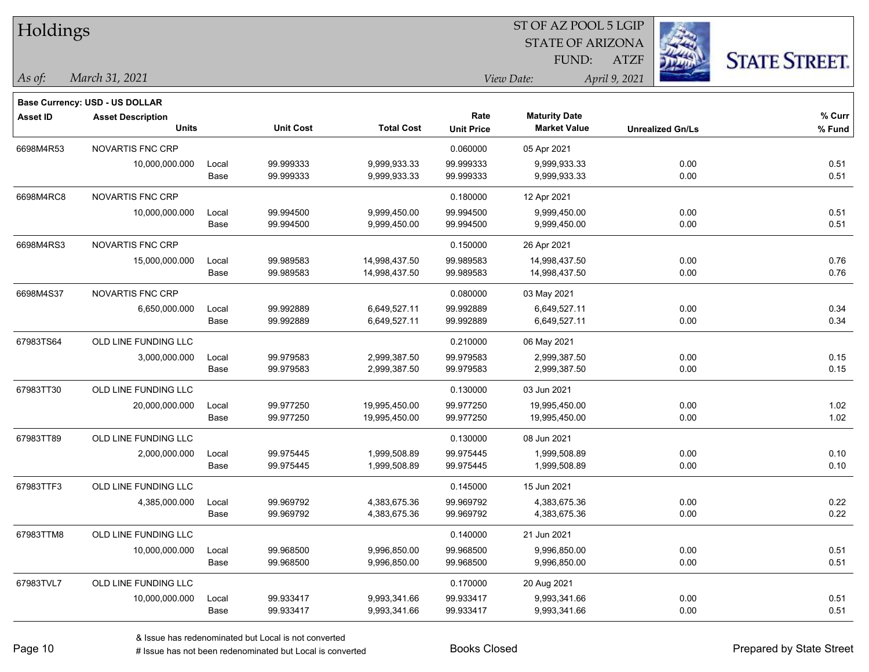| Holdings        |                                       |       |                  |                   | ST OF AZ POOL 5 LGIP |                         |                         |                      |  |  |
|-----------------|---------------------------------------|-------|------------------|-------------------|----------------------|-------------------------|-------------------------|----------------------|--|--|
|                 |                                       |       |                  |                   |                      | <b>STATE OF ARIZONA</b> |                         |                      |  |  |
|                 |                                       |       |                  |                   |                      | FUND:                   | <b>ATZF</b>             | <b>STATE STREET.</b> |  |  |
| As of:          | March 31, 2021                        |       |                  |                   |                      | View Date:              | April 9, 2021           |                      |  |  |
|                 | <b>Base Currency: USD - US DOLLAR</b> |       |                  |                   |                      |                         |                         |                      |  |  |
| <b>Asset ID</b> | <b>Asset Description</b>              |       |                  |                   | Rate                 | <b>Maturity Date</b>    |                         | % Curr               |  |  |
|                 | <b>Units</b>                          |       | <b>Unit Cost</b> | <b>Total Cost</b> | <b>Unit Price</b>    | <b>Market Value</b>     | <b>Unrealized Gn/Ls</b> | % Fund               |  |  |
| 6698M4R53       | NOVARTIS FNC CRP                      |       |                  |                   | 0.060000             | 05 Apr 2021             |                         |                      |  |  |
|                 | 10,000,000.000                        | Local | 99.999333        | 9,999,933.33      | 99.999333            | 9,999,933.33            | 0.00                    | 0.51                 |  |  |
|                 |                                       | Base  | 99.999333        | 9,999,933.33      | 99.999333            | 9,999,933.33            | 0.00                    | 0.51                 |  |  |
| 6698M4RC8       | NOVARTIS FNC CRP                      |       |                  |                   | 0.180000             | 12 Apr 2021             |                         |                      |  |  |
|                 | 10,000,000.000                        | Local | 99.994500        | 9,999,450.00      | 99.994500            | 9,999,450.00            | 0.00                    | 0.51                 |  |  |
|                 |                                       | Base  | 99.994500        | 9,999,450.00      | 99.994500            | 9,999,450.00            | 0.00                    | 0.51                 |  |  |
| 6698M4RS3       | <b>NOVARTIS FNC CRP</b>               |       |                  |                   | 0.150000             | 26 Apr 2021             |                         |                      |  |  |
|                 | 15,000,000.000                        | Local | 99.989583        | 14,998,437.50     | 99.989583            | 14,998,437.50           | 0.00                    | 0.76                 |  |  |
|                 |                                       | Base  | 99.989583        | 14,998,437.50     | 99.989583            | 14,998,437.50           | 0.00                    | 0.76                 |  |  |
| 6698M4S37       | NOVARTIS FNC CRP                      |       |                  |                   | 0.080000             | 03 May 2021             |                         |                      |  |  |
|                 | 6,650,000.000                         | Local | 99.992889        | 6,649,527.11      | 99.992889            | 6,649,527.11            | 0.00                    | 0.34                 |  |  |
|                 |                                       | Base  | 99.992889        | 6,649,527.11      | 99.992889            | 6,649,527.11            | 0.00                    | 0.34                 |  |  |
| 67983TS64       | OLD LINE FUNDING LLC                  |       |                  |                   | 0.210000             | 06 May 2021             |                         |                      |  |  |
|                 | 3,000,000.000                         | Local | 99.979583        | 2,999,387.50      | 99.979583            | 2,999,387.50            | 0.00                    | 0.15                 |  |  |
|                 |                                       | Base  | 99.979583        | 2,999,387.50      | 99.979583            | 2,999,387.50            | 0.00                    | 0.15                 |  |  |
| 67983TT30       | OLD LINE FUNDING LLC                  |       |                  |                   | 0.130000             | 03 Jun 2021             |                         |                      |  |  |
|                 | 20,000,000.000                        | Local | 99.977250        | 19,995,450.00     | 99.977250            | 19,995,450.00           | 0.00                    | 1.02                 |  |  |
|                 |                                       | Base  | 99.977250        | 19,995,450.00     | 99.977250            | 19,995,450.00           | 0.00                    | 1.02                 |  |  |
| 67983TT89       | OLD LINE FUNDING LLC                  |       |                  |                   | 0.130000             | 08 Jun 2021             |                         |                      |  |  |
|                 | 2,000,000.000                         | Local | 99.975445        | 1,999,508.89      | 99.975445            | 1,999,508.89            | 0.00                    | 0.10                 |  |  |
|                 |                                       | Base  | 99.975445        | 1,999,508.89      | 99.975445            | 1,999,508.89            | 0.00                    | 0.10                 |  |  |
| 67983TTF3       | OLD LINE FUNDING LLC                  |       |                  |                   | 0.145000             | 15 Jun 2021             |                         |                      |  |  |
|                 | 4,385,000.000                         | Local | 99.969792        | 4,383,675.36      | 99.969792            | 4,383,675.36            | 0.00                    | 0.22                 |  |  |
|                 |                                       | Base  | 99.969792        | 4,383,675.36      | 99.969792            | 4,383,675.36            | 0.00                    | 0.22                 |  |  |
| 67983TTM8       | OLD LINE FUNDING LLC                  |       |                  |                   | 0.140000             | 21 Jun 2021             |                         |                      |  |  |
|                 | 10,000,000.000                        | Local | 99.968500        | 9,996,850.00      | 99.968500            | 9,996,850.00            | 0.00                    | 0.51                 |  |  |
|                 |                                       | Base  | 99.968500        | 9,996,850.00      | 99.968500            | 9,996,850.00            | 0.00                    | 0.51                 |  |  |
| 67983TVL7       | OLD LINE FUNDING LLC                  |       |                  |                   | 0.170000             | 20 Aug 2021             |                         |                      |  |  |
|                 | 10,000,000.000                        | Local | 99.933417        | 9,993,341.66      | 99.933417            | 9,993,341.66            | 0.00                    | 0.51                 |  |  |
|                 |                                       | Base  | 99.933417        | 9,993,341.66      | 99.933417            | 9,993,341.66            | 0.00                    | 0.51                 |  |  |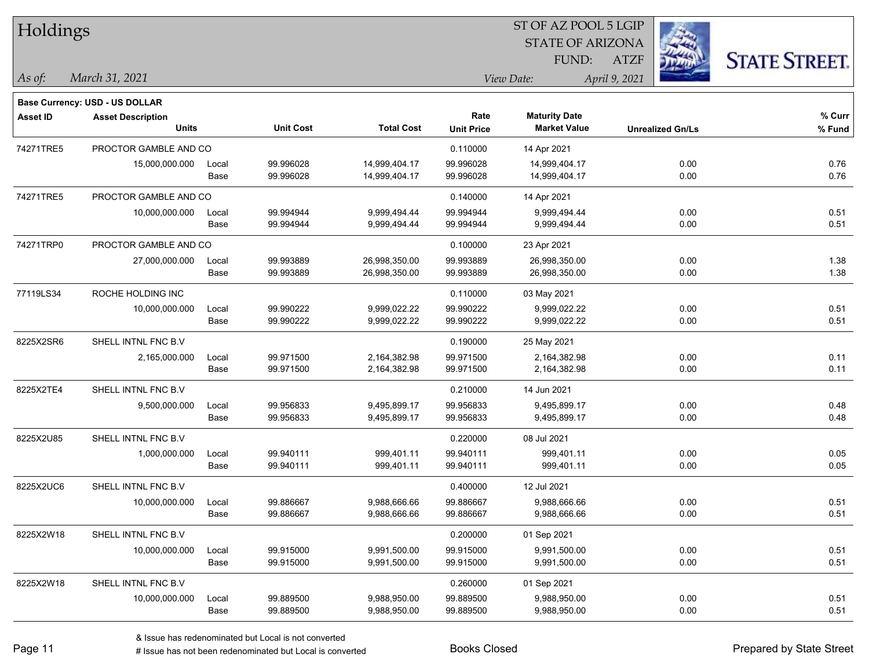| Holdings        |                                       |       |                  |                   | ST OF AZ POOL 5 LGIP |                         |                         |                      |  |  |
|-----------------|---------------------------------------|-------|------------------|-------------------|----------------------|-------------------------|-------------------------|----------------------|--|--|
|                 |                                       |       |                  |                   |                      | <b>STATE OF ARIZONA</b> |                         |                      |  |  |
|                 |                                       |       |                  |                   |                      | FUND:                   | <b>ATZF</b>             | <b>STATE STREET.</b> |  |  |
| As of:          | March 31, 2021                        |       |                  |                   |                      | View Date:              | April 9, 2021           |                      |  |  |
|                 | <b>Base Currency: USD - US DOLLAR</b> |       |                  |                   |                      |                         |                         |                      |  |  |
| <b>Asset ID</b> | <b>Asset Description</b>              |       |                  |                   | Rate                 | <b>Maturity Date</b>    |                         | % Curr               |  |  |
|                 | <b>Units</b>                          |       | <b>Unit Cost</b> | <b>Total Cost</b> | <b>Unit Price</b>    | <b>Market Value</b>     | <b>Unrealized Gn/Ls</b> | % Fund               |  |  |
| 74271TRE5       | PROCTOR GAMBLE AND CO                 |       |                  |                   | 0.110000             | 14 Apr 2021             |                         |                      |  |  |
|                 | 15,000,000.000                        | Local | 99.996028        | 14,999,404.17     | 99.996028            | 14,999,404.17           | 0.00                    | 0.76                 |  |  |
|                 |                                       | Base  | 99.996028        | 14,999,404.17     | 99.996028            | 14,999,404.17           | 0.00                    | 0.76                 |  |  |
| 74271TRE5       | PROCTOR GAMBLE AND CO                 |       |                  |                   | 0.140000             | 14 Apr 2021             |                         |                      |  |  |
|                 | 10,000,000.000                        | Local | 99.994944        | 9,999,494.44      | 99.994944            | 9,999,494.44            | 0.00                    | 0.51                 |  |  |
|                 |                                       | Base  | 99.994944        | 9,999,494.44      | 99.994944            | 9,999,494.44            | 0.00                    | 0.51                 |  |  |
| 74271TRP0       | PROCTOR GAMBLE AND CO                 |       |                  |                   | 0.100000             | 23 Apr 2021             |                         |                      |  |  |
|                 | 27,000,000.000                        | Local | 99.993889        | 26,998,350.00     | 99.993889            | 26,998,350.00           | 0.00                    | 1.38                 |  |  |
|                 |                                       | Base  | 99.993889        | 26,998,350.00     | 99.993889            | 26,998,350.00           | 0.00                    | 1.38                 |  |  |
| 77119LS34       | ROCHE HOLDING INC                     |       |                  |                   | 0.110000             | 03 May 2021             |                         |                      |  |  |
|                 | 10,000,000.000                        | Local | 99.990222        | 9,999,022.22      | 99.990222            | 9,999,022.22            | 0.00                    | 0.51                 |  |  |
|                 |                                       | Base  | 99.990222        | 9,999,022.22      | 99.990222            | 9,999,022.22            | 0.00                    | 0.51                 |  |  |
| 8225X2SR6       | SHELL INTNL FNC B.V                   |       |                  |                   | 0.190000             | 25 May 2021             |                         |                      |  |  |
|                 | 2,165,000.000                         | Local | 99.971500        | 2,164,382.98      | 99.971500            | 2,164,382.98            | 0.00                    | 0.11                 |  |  |
|                 |                                       | Base  | 99.971500        | 2,164,382.98      | 99.971500            | 2,164,382.98            | 0.00                    | 0.11                 |  |  |
| 8225X2TE4       | SHELL INTNL FNC B.V                   |       |                  |                   | 0.210000             | 14 Jun 2021             |                         |                      |  |  |
|                 | 9,500,000.000                         | Local | 99.956833        | 9,495,899.17      | 99.956833            | 9,495,899.17            | 0.00                    | 0.48                 |  |  |
|                 |                                       | Base  | 99.956833        | 9,495,899.17      | 99.956833            | 9,495,899.17            | 0.00                    | 0.48                 |  |  |
| 8225X2U85       | SHELL INTNL FNC B.V                   |       |                  |                   | 0.220000             | 08 Jul 2021             |                         |                      |  |  |
|                 | 1,000,000.000                         | Local | 99.940111        | 999,401.11        | 99.940111            | 999,401.11              | 0.00                    | 0.05                 |  |  |
|                 |                                       | Base  | 99.940111        | 999,401.11        | 99.940111            | 999,401.11              | 0.00                    | 0.05                 |  |  |
| 8225X2UC6       | SHELL INTNL FNC B.V                   |       |                  |                   | 0.400000             | 12 Jul 2021             |                         |                      |  |  |
|                 | 10,000,000.000                        | Local | 99.886667        | 9,988,666.66      | 99.886667            | 9,988,666.66            | 0.00                    | 0.51                 |  |  |
|                 |                                       | Base  | 99.886667        | 9,988,666.66      | 99.886667            | 9,988,666.66            | 0.00                    | 0.51                 |  |  |
| 8225X2W18       | SHELL INTNL FNC B.V                   |       |                  |                   | 0.200000             | 01 Sep 2021             |                         |                      |  |  |
|                 | 10,000,000.000                        | Local | 99.915000        | 9,991,500.00      | 99.915000            | 9,991,500.00            | 0.00                    | 0.51                 |  |  |
|                 |                                       | Base  | 99.915000        | 9,991,500.00      | 99.915000            | 9,991,500.00            | 0.00                    | 0.51                 |  |  |
| 8225X2W18       | SHELL INTNL FNC B.V                   |       |                  |                   | 0.260000             | 01 Sep 2021             |                         |                      |  |  |
|                 | 10,000,000.000                        | Local | 99.889500        | 9,988,950.00      | 99.889500            | 9,988,950.00            | 0.00                    | 0.51                 |  |  |
|                 |                                       | Base  | 99.889500        | 9,988,950.00      | 99.889500            | 9,988,950.00            | 0.00                    | 0.51                 |  |  |

# Issue has not been redenominated but Local is converted Books Closed Prepared by State Street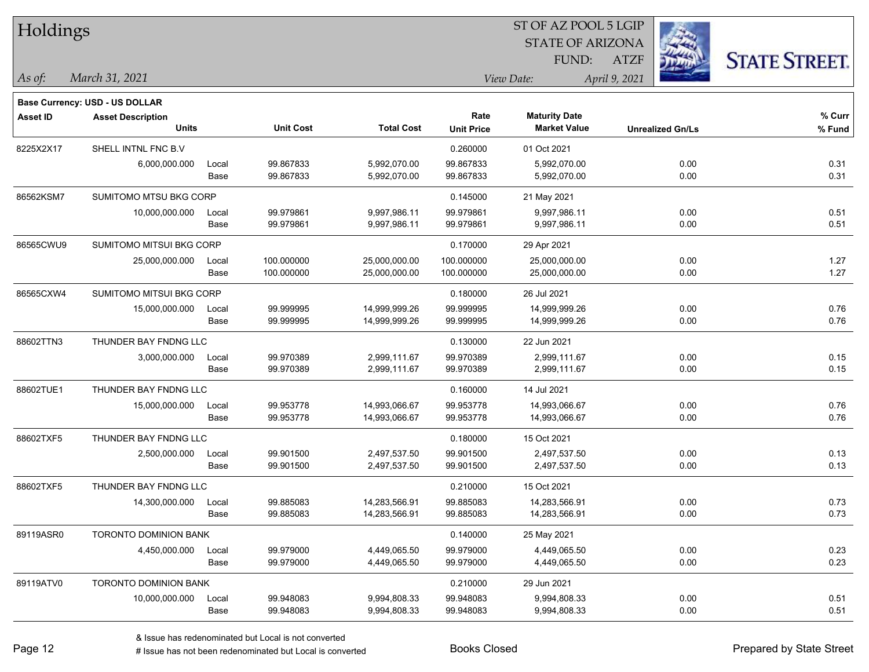| Holdings  |                                          |               |                          |                                |                           | 51 OF AZ POOL 5 LGIP                        |                         |                      |
|-----------|------------------------------------------|---------------|--------------------------|--------------------------------|---------------------------|---------------------------------------------|-------------------------|----------------------|
|           |                                          |               |                          |                                |                           | <b>STATE OF ARIZONA</b>                     |                         |                      |
|           |                                          |               |                          |                                |                           | FUND:                                       | <b>ATZF</b>             | <b>STATE STREET.</b> |
| As of:    | March 31, 2021                           |               |                          |                                |                           | View Date:                                  | April 9, 2021           |                      |
|           | <b>Base Currency: USD - US DOLLAR</b>    |               |                          |                                |                           |                                             |                         |                      |
| Asset ID  | <b>Asset Description</b><br><b>Units</b> |               | <b>Unit Cost</b>         | <b>Total Cost</b>              | Rate<br><b>Unit Price</b> | <b>Maturity Date</b><br><b>Market Value</b> | <b>Unrealized Gn/Ls</b> | $%$ Curr<br>$%$ Fund |
| 8225X2X17 | SHELL INTNL FNC B.V                      |               |                          |                                | 0.260000                  | 01 Oct 2021                                 |                         |                      |
|           | 6,000,000.000                            | Local<br>Base | 99.867833<br>99.867833   | 5,992,070.00<br>5,992,070.00   | 99.867833<br>99.867833    | 5,992,070.00<br>5,992,070.00                | 0.00<br>0.00            | 0.31<br>0.31         |
| 86562KSM7 | SUMITOMO MTSU BKG CORP                   |               |                          |                                | 0.145000                  | 21 May 2021                                 |                         |                      |
|           | 10,000,000.000                           | Local<br>Base | 99.979861<br>99.979861   | 9,997,986.11<br>9,997,986.11   | 99.979861<br>99.979861    | 9,997,986.11<br>9,997,986.11                | 0.00<br>0.00            | 0.51<br>0.51         |
| 86565CWU9 | SUMITOMO MITSUI BKG CORP                 |               |                          |                                | 0.170000                  | 29 Apr 2021                                 |                         |                      |
|           | 25,000,000.000                           | Local<br>Base | 100.000000<br>100.000000 | 25,000,000.00<br>25,000,000.00 | 100.000000<br>100.000000  | 25,000,000.00<br>25,000,000.00              | 0.00<br>0.00            | 1.27<br>1.27         |
| 86565CXW4 | SUMITOMO MITSUI BKG CORP                 |               |                          |                                | 0.180000                  | 26 Jul 2021                                 |                         |                      |
|           | 15,000,000.000                           | Local<br>Base | 99.999995<br>99.999995   | 14,999,999.26<br>14,999,999.26 | 99.999995<br>99.999995    | 14,999,999.26<br>14,999,999.26              | 0.00<br>0.00            | 0.76<br>0.76         |
| 88602TTN3 | THUNDER BAY FNDNG LLC                    |               |                          |                                | 0.130000                  | 22 Jun 2021                                 |                         |                      |
|           | 3,000,000.000                            | Local<br>Base | 99.970389<br>99.970389   | 2,999,111.67<br>2,999,111.67   | 99.970389<br>99.970389    | 2,999,111.67<br>2,999,111.67                | 0.00<br>0.00            | 0.15<br>0.15         |
| 88602TUE1 | THUNDER BAY FNDNG LLC                    |               |                          |                                | 0.160000                  | 14 Jul 2021                                 |                         |                      |
|           | 15,000,000.000                           | Local         | 99.953778                | 14,993,066.67                  | 99.953778                 | 14,993,066.67                               | 0.00                    | 0.76                 |
|           |                                          | Base          | 99.953778                | 14,993,066.67                  | 99.953778                 | 14,993,066.67                               | 0.00                    | 0.76                 |
| 88602TXF5 | THUNDER BAY FNDNG LLC                    |               |                          |                                | 0.180000                  | 15 Oct 2021                                 |                         |                      |
|           | 2,500,000.000                            | Local<br>Base | 99.901500<br>99.901500   | 2,497,537.50<br>2,497,537.50   | 99.901500<br>99.901500    | 2,497,537.50<br>2,497,537.50                | 0.00<br>0.00            | 0.13<br>0.13         |
| 88602TXF5 | THUNDER BAY FNDNG LLC                    |               |                          |                                | 0.210000                  | 15 Oct 2021                                 |                         |                      |
|           | 14,300,000.000                           | Local<br>Base | 99.885083<br>99.885083   | 14,283,566.91<br>14,283,566.91 | 99.885083<br>99.885083    | 14,283,566.91<br>14,283,566.91              | 0.00<br>0.00            | 0.73<br>0.73         |
| 89119ASR0 | TORONTO DOMINION BANK                    |               |                          |                                | 0.140000                  | 25 May 2021                                 |                         |                      |
|           | 4,450,000.000                            | Local<br>Base | 99.979000<br>99.979000   | 4,449,065.50<br>4,449,065.50   | 99.979000<br>99.979000    | 4,449,065.50<br>4,449,065.50                | 0.00<br>0.00            | 0.23<br>0.23         |
| 89119ATV0 | TORONTO DOMINION BANK                    |               |                          |                                | 0.210000                  | 29 Jun 2021                                 |                         |                      |
|           | 10,000,000.000                           | Local<br>Base | 99.948083<br>99.948083   | 9,994,808.33<br>9,994,808.33   | 99.948083<br>99.948083    | 9,994,808.33<br>9,994,808.33                | 0.00<br>0.00            | 0.51<br>0.51         |

 $ST$  OF AZ POOL 5 LGIP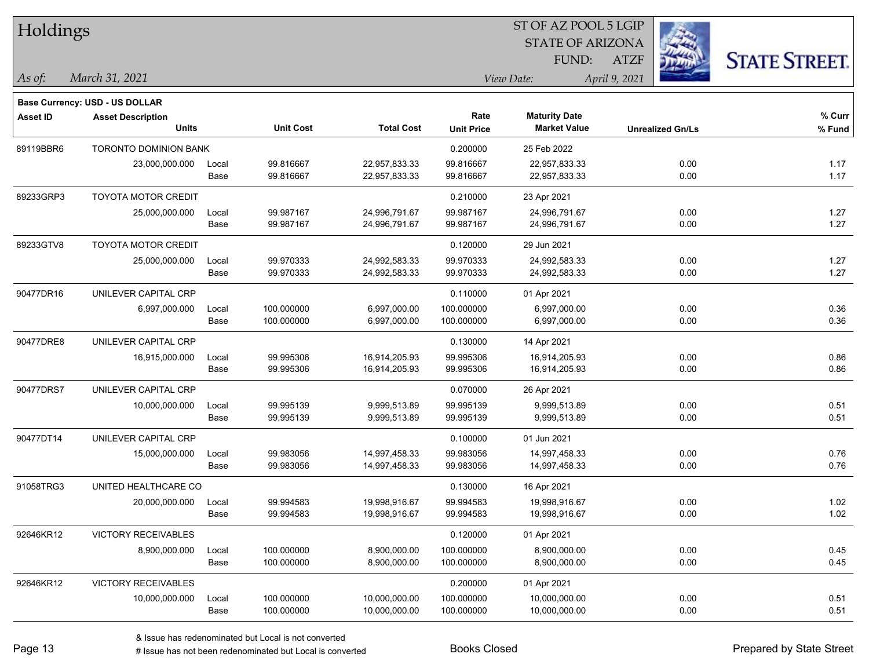| Holdings        |                                       |       |                  |                   | ST OF AZ POOL 5 LGIP |                         |                         |                      |  |  |
|-----------------|---------------------------------------|-------|------------------|-------------------|----------------------|-------------------------|-------------------------|----------------------|--|--|
|                 |                                       |       |                  |                   |                      | <b>STATE OF ARIZONA</b> |                         |                      |  |  |
|                 |                                       |       |                  |                   |                      | FUND:                   | <b>ATZF</b>             | <b>STATE STREET.</b> |  |  |
| As of:          | March 31, 2021                        |       |                  |                   |                      | View Date:              | April 9, 2021           |                      |  |  |
|                 | <b>Base Currency: USD - US DOLLAR</b> |       |                  |                   |                      |                         |                         |                      |  |  |
| <b>Asset ID</b> | <b>Asset Description</b>              |       |                  |                   | Rate                 | <b>Maturity Date</b>    |                         | % Curr               |  |  |
|                 | <b>Units</b>                          |       | <b>Unit Cost</b> | <b>Total Cost</b> | <b>Unit Price</b>    | <b>Market Value</b>     | <b>Unrealized Gn/Ls</b> | % Fund               |  |  |
| 89119BBR6       | <b>TORONTO DOMINION BANK</b>          |       |                  |                   | 0.200000             | 25 Feb 2022             |                         |                      |  |  |
|                 | 23,000,000.000                        | Local | 99.816667        | 22,957,833.33     | 99.816667            | 22,957,833.33           | 0.00                    | 1.17                 |  |  |
|                 |                                       | Base  | 99.816667        | 22,957,833.33     | 99.816667            | 22,957,833.33           | 0.00                    | 1.17                 |  |  |
| 89233GRP3       | <b>TOYOTA MOTOR CREDIT</b>            |       |                  |                   | 0.210000             | 23 Apr 2021             |                         |                      |  |  |
|                 | 25,000,000.000                        | Local | 99.987167        | 24,996,791.67     | 99.987167            | 24,996,791.67           | 0.00                    | 1.27                 |  |  |
|                 |                                       | Base  | 99.987167        | 24,996,791.67     | 99.987167            | 24,996,791.67           | 0.00                    | 1.27                 |  |  |
| 89233GTV8       | <b>TOYOTA MOTOR CREDIT</b>            |       |                  |                   | 0.120000             | 29 Jun 2021             |                         |                      |  |  |
|                 | 25,000,000.000                        | Local | 99.970333        | 24,992,583.33     | 99.970333            | 24,992,583.33           | 0.00                    | 1.27                 |  |  |
|                 |                                       | Base  | 99.970333        | 24,992,583.33     | 99.970333            | 24,992,583.33           | 0.00                    | 1.27                 |  |  |
| 90477DR16       | UNILEVER CAPITAL CRP                  |       |                  |                   | 0.110000             | 01 Apr 2021             |                         |                      |  |  |
|                 | 6,997,000.000                         | Local | 100.000000       | 6,997,000.00      | 100.000000           | 6,997,000.00            | 0.00                    | 0.36                 |  |  |
|                 |                                       | Base  | 100.000000       | 6,997,000.00      | 100.000000           | 6,997,000.00            | 0.00                    | 0.36                 |  |  |
| 90477DRE8       | UNILEVER CAPITAL CRP                  |       |                  |                   | 0.130000             | 14 Apr 2021             |                         |                      |  |  |
|                 | 16,915,000.000                        | Local | 99.995306        | 16,914,205.93     | 99.995306            | 16,914,205.93           | 0.00                    | 0.86                 |  |  |
|                 |                                       | Base  | 99.995306        | 16,914,205.93     | 99.995306            | 16,914,205.93           | 0.00                    | 0.86                 |  |  |
| 90477DRS7       | UNILEVER CAPITAL CRP                  |       |                  |                   | 0.070000             | 26 Apr 2021             |                         |                      |  |  |
|                 | 10,000,000.000                        | Local | 99.995139        | 9,999,513.89      | 99.995139            | 9,999,513.89            | 0.00                    | 0.51                 |  |  |
|                 |                                       | Base  | 99.995139        | 9,999,513.89      | 99.995139            | 9,999,513.89            | 0.00                    | 0.51                 |  |  |
| 90477DT14       | UNILEVER CAPITAL CRP                  |       |                  |                   | 0.100000             | 01 Jun 2021             |                         |                      |  |  |
|                 | 15,000,000.000                        | Local | 99.983056        | 14,997,458.33     | 99.983056            | 14,997,458.33           | 0.00                    | 0.76                 |  |  |
|                 |                                       | Base  | 99.983056        | 14,997,458.33     | 99.983056            | 14,997,458.33           | 0.00                    | 0.76                 |  |  |
| 91058TRG3       | UNITED HEALTHCARE CO                  |       |                  |                   | 0.130000             | 16 Apr 2021             |                         |                      |  |  |
|                 | 20,000,000.000                        | Local | 99.994583        | 19,998,916.67     | 99.994583            | 19,998,916.67           | 0.00                    | 1.02                 |  |  |
|                 |                                       | Base  | 99.994583        | 19,998,916.67     | 99.994583            | 19,998,916.67           | 0.00                    | 1.02                 |  |  |
| 92646KR12       | <b>VICTORY RECEIVABLES</b>            |       |                  |                   | 0.120000             | 01 Apr 2021             |                         |                      |  |  |
|                 | 8,900,000.000                         | Local | 100.000000       | 8,900,000.00      | 100.000000           | 8,900,000.00            | 0.00                    | 0.45                 |  |  |
|                 |                                       | Base  | 100.000000       | 8,900,000.00      | 100.000000           | 8,900,000.00            | 0.00                    | 0.45                 |  |  |
| 92646KR12       | VICTORY RECEIVABLES                   |       |                  |                   | 0.200000             | 01 Apr 2021             |                         |                      |  |  |
|                 | 10,000,000.000                        | Local | 100.000000       | 10,000,000.00     | 100.000000           | 10,000,000.00           | 0.00                    | 0.51                 |  |  |
|                 |                                       | Base  | 100.000000       | 10,000,000.00     | 100.000000           | 10,000,000.00           | 0.00                    | 0.51                 |  |  |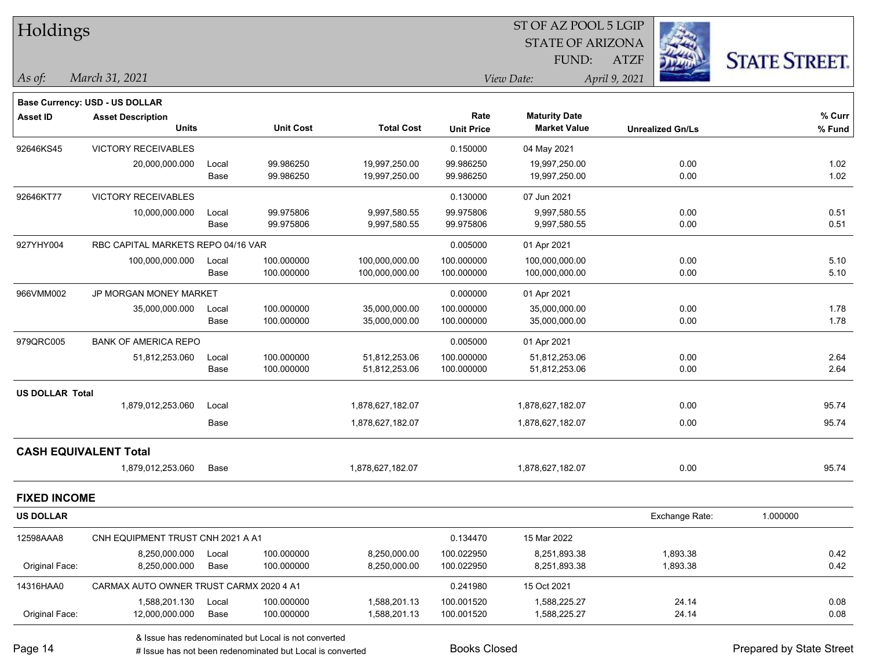|                        | Holdings                                |       |                  |                   |                   | ST OF AZ POOL 5 LGIP    |                         |                      |
|------------------------|-----------------------------------------|-------|------------------|-------------------|-------------------|-------------------------|-------------------------|----------------------|
|                        |                                         |       |                  |                   |                   | <b>STATE OF ARIZONA</b> |                         |                      |
|                        |                                         |       |                  |                   |                   | FUND:                   | <b>ATZF</b>             | <b>STATE STREET.</b> |
| $\vert$ As of:         | March 31, 2021                          |       |                  |                   |                   | View Date:              | April 9, 2021           |                      |
|                        | <b>Base Currency: USD - US DOLLAR</b>   |       |                  |                   |                   |                         |                         |                      |
| <b>Asset ID</b>        | <b>Asset Description</b>                |       |                  |                   | Rate              | <b>Maturity Date</b>    |                         | % Curr               |
|                        | <b>Units</b>                            |       | <b>Unit Cost</b> | <b>Total Cost</b> | <b>Unit Price</b> | <b>Market Value</b>     | <b>Unrealized Gn/Ls</b> | % Fund               |
| 92646KS45              | <b>VICTORY RECEIVABLES</b>              |       |                  |                   | 0.150000          | 04 May 2021             |                         |                      |
|                        | 20,000,000.000                          | Local | 99.986250        | 19,997,250.00     | 99.986250         | 19,997,250.00           | 0.00                    | 1.02                 |
|                        |                                         | Base  | 99.986250        | 19,997,250.00     | 99.986250         | 19,997,250.00           | 0.00                    | 1.02                 |
| 92646KT77              | <b>VICTORY RECEIVABLES</b>              |       |                  |                   | 0.130000          | 07 Jun 2021             |                         |                      |
|                        | 10,000,000.000                          | Local | 99.975806        | 9,997,580.55      | 99.975806         | 9,997,580.55            | 0.00                    | 0.51                 |
|                        |                                         | Base  | 99.975806        | 9,997,580.55      | 99.975806         | 9,997,580.55            | 0.00                    | 0.51                 |
| 927YHY004              | RBC CAPITAL MARKETS REPO 04/16 VAR      |       |                  |                   | 0.005000          | 01 Apr 2021             |                         |                      |
|                        | 100,000,000.000                         | Local | 100.000000       | 100,000,000.00    | 100.000000        | 100,000,000.00          | 0.00                    | 5.10                 |
|                        |                                         | Base  | 100.000000       | 100,000,000.00    | 100.000000        | 100,000,000.00          | 0.00                    | 5.10                 |
| 966VMM002              | JP MORGAN MONEY MARKET                  |       |                  |                   | 0.000000          | 01 Apr 2021             |                         |                      |
|                        | 35,000,000.000                          | Local | 100.000000       | 35,000,000.00     | 100.000000        | 35,000,000.00           | 0.00                    | 1.78                 |
|                        |                                         | Base  | 100.000000       | 35,000,000.00     | 100.000000        | 35,000,000.00           | 0.00                    | 1.78                 |
| 979QRC005              | <b>BANK OF AMERICA REPO</b>             |       |                  |                   | 0.005000          | 01 Apr 2021             |                         |                      |
|                        | 51,812,253.060                          | Local | 100.000000       | 51,812,253.06     | 100.000000        | 51,812,253.06           | 0.00                    | 2.64                 |
|                        |                                         | Base  | 100.000000       | 51,812,253.06     | 100.000000        | 51,812,253.06           | 0.00                    | 2.64                 |
| <b>US DOLLAR Total</b> |                                         |       |                  |                   |                   |                         |                         |                      |
|                        | 1,879,012,253.060                       | Local |                  | 1,878,627,182.07  |                   | 1,878,627,182.07        | 0.00                    | 95.74                |
|                        |                                         | Base  |                  | 1,878,627,182.07  |                   | 1,878,627,182.07        | 0.00                    | 95.74                |
|                        | <b>CASH EQUIVALENT Total</b>            |       |                  |                   |                   |                         |                         |                      |
|                        | 1,879,012,253.060                       | Base  |                  | 1,878,627,182.07  |                   | 1,878,627,182.07        | 0.00                    | 95.74                |
| <b>FIXED INCOME</b>    |                                         |       |                  |                   |                   |                         |                         |                      |
| US DOLLAR              |                                         |       |                  |                   |                   |                         | Exchange Rate:          | 1.000000             |
| 12598AAA8              | CNH EQUIPMENT TRUST CNH 2021 A A1       |       |                  |                   | 0.134470          | 15 Mar 2022             |                         |                      |
|                        | 8,250,000.000                           | Local | 100.000000       | 8,250,000.00      | 100.022950        | 8,251,893.38            | 1,893.38                | 0.42                 |
| Original Face:         | 8,250,000.000                           | Base  | 100.000000       | 8,250,000.00      | 100.022950        | 8,251,893.38            | 1,893.38                | 0.42                 |
| 14316HAA0              | CARMAX AUTO OWNER TRUST CARMX 2020 4 A1 |       |                  |                   | 0.241980          | 15 Oct 2021             |                         |                      |
|                        | 1,588,201.130                           | Local | 100.000000       | 1,588,201.13      | 100.001520        | 1,588,225.27            | 24.14                   | 0.08                 |
| Original Face:         | 12,000,000.000                          | Base  | 100.000000       | 1,588,201.13      | 100.001520        | 1,588,225.27            | 24.14                   | 0.08                 |
|                        |                                         |       |                  |                   |                   |                         |                         |                      |

& Issue has redenominated but Local is not converted

# Issue has not been redenominated but Local is converted Books Closed Prepared by State Street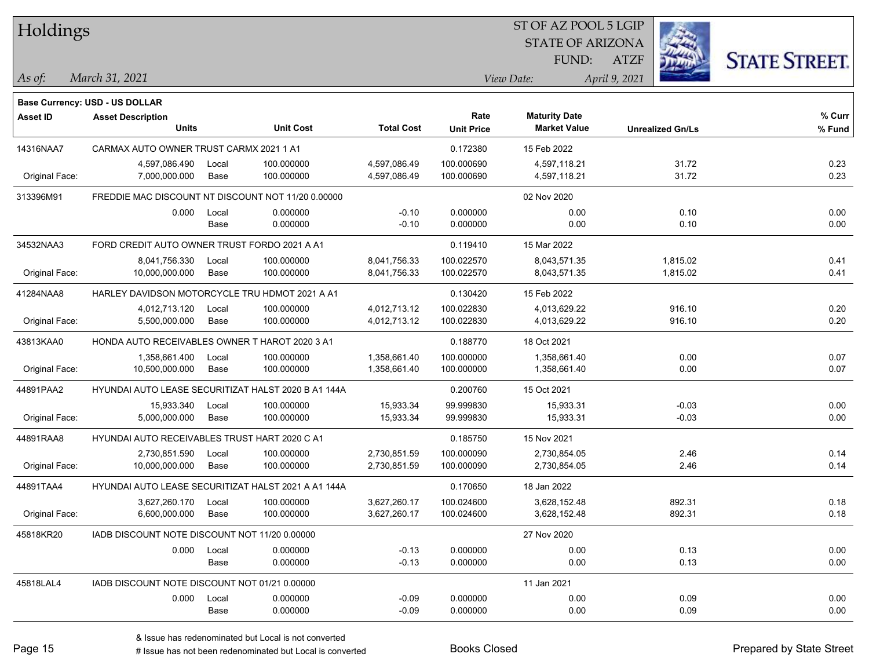| Holdings        |                                                      |             |                  |                   |                   | ST OF AZ POOL 5 LGIP    |                         |                      |
|-----------------|------------------------------------------------------|-------------|------------------|-------------------|-------------------|-------------------------|-------------------------|----------------------|
|                 |                                                      |             |                  |                   |                   | <b>STATE OF ARIZONA</b> |                         |                      |
|                 |                                                      |             |                  |                   |                   | FUND:                   | <b>ATZF</b>             | <b>STATE STREET.</b> |
| As of:          | March 31, 2021                                       |             |                  |                   |                   | View Date:              | April 9, 2021           |                      |
|                 | <b>Base Currency: USD - US DOLLAR</b>                |             |                  |                   |                   |                         |                         |                      |
| <b>Asset ID</b> | <b>Asset Description</b>                             |             |                  |                   | Rate              | <b>Maturity Date</b>    |                         | % Curr               |
|                 | <b>Units</b>                                         |             | <b>Unit Cost</b> | <b>Total Cost</b> | <b>Unit Price</b> | <b>Market Value</b>     | <b>Unrealized Gn/Ls</b> | % Fund               |
| 14316NAA7       | CARMAX AUTO OWNER TRUST CARMX 2021 1 A1              |             |                  |                   | 0.172380          | 15 Feb 2022             |                         |                      |
|                 | 4,597,086.490                                        | Local       | 100.000000       | 4,597,086.49      | 100.000690        | 4,597,118.21            | 31.72                   | 0.23                 |
| Original Face:  | 7,000,000.000                                        | Base        | 100.000000       | 4,597,086.49      | 100.000690        | 4,597,118.21            | 31.72                   | 0.23                 |
| 313396M91       | FREDDIE MAC DISCOUNT NT DISCOUNT NOT 11/20 0.00000   |             |                  |                   |                   | 02 Nov 2020             |                         |                      |
|                 | 0.000                                                | Local       | 0.000000         | $-0.10$           | 0.000000          | 0.00                    | 0.10                    | 0.00                 |
|                 |                                                      | Base        | 0.000000         | $-0.10$           | 0.000000          | 0.00                    | 0.10                    | 0.00                 |
| 34532NAA3       | FORD CREDIT AUTO OWNER TRUST FORDO 2021 A A1         |             |                  |                   | 0.119410          | 15 Mar 2022             |                         |                      |
|                 | 8,041,756.330                                        | Local       | 100.000000       | 8,041,756.33      | 100.022570        | 8,043,571.35            | 1,815.02                | 0.41                 |
| Original Face:  | 10,000,000.000                                       | Base        | 100.000000       | 8,041,756.33      | 100.022570        | 8,043,571.35            | 1,815.02                | 0.41                 |
| 41284NAA8       | HARLEY DAVIDSON MOTORCYCLE TRU HDMOT 2021 A A1       |             |                  |                   | 0.130420          | 15 Feb 2022             |                         |                      |
|                 | 4,012,713.120                                        | Local       | 100.000000       | 4,012,713.12      | 100.022830        | 4,013,629.22            | 916.10                  | 0.20                 |
| Original Face:  | 5,500,000.000                                        | Base        | 100.000000       | 4,012,713.12      | 100.022830        | 4,013,629.22            | 916.10                  | 0.20                 |
| 43813KAA0       | HONDA AUTO RECEIVABLES OWNER T HAROT 2020 3 A1       |             |                  |                   | 0.188770          | 18 Oct 2021             |                         |                      |
|                 | 1,358,661.400                                        | Local       | 100.000000       | 1,358,661.40      | 100.000000        | 1,358,661.40            | 0.00                    | 0.07                 |
| Original Face:  | 10,500,000.000                                       | Base        | 100.000000       | 1,358,661.40      | 100.000000        | 1,358,661.40            | 0.00                    | 0.07                 |
| 44891PAA2       | HYUNDAI AUTO LEASE SECURITIZAT HALST 2020 B A1 144A  |             |                  |                   | 0.200760          | 15 Oct 2021             |                         |                      |
|                 | 15,933.340                                           | Local       | 100.000000       | 15,933.34         | 99.999830         | 15,933.31               | $-0.03$                 | 0.00                 |
| Original Face:  | 5,000,000.000                                        | Base        | 100.000000       | 15,933.34         | 99.999830         | 15,933.31               | $-0.03$                 | 0.00                 |
| 44891RAA8       | <b>HYUNDAI AUTO RECEIVABLES TRUST HART 2020 C A1</b> |             |                  |                   | 0.185750          | 15 Nov 2021             |                         |                      |
|                 | 2,730,851.590                                        | Local       | 100.000000       | 2,730,851.59      | 100.000090        | 2,730,854.05            | 2.46                    | 0.14                 |
| Original Face:  | 10,000,000.000                                       | Base        | 100.000000       | 2,730,851.59      | 100.000090        | 2,730,854.05            | 2.46                    | 0.14                 |
| 44891TAA4       | HYUNDAI AUTO LEASE SECURITIZAT HALST 2021 A A1 144A  |             |                  |                   | 0.170650          | 18 Jan 2022             |                         |                      |
|                 | 3,627,260.170                                        | Local       | 100.000000       | 3,627,260.17      | 100.024600        | 3,628,152.48            | 892.31                  | 0.18                 |
| Original Face:  | 6,600,000.000 Base                                   |             | 100.000000       | 3,627,260.17      | 100.024600        | 3,628,152.48            | 892.31                  | 0.18                 |
| 45818KR20       | IADB DISCOUNT NOTE DISCOUNT NOT 11/20 0.00000        |             |                  |                   |                   | 27 Nov 2020             |                         |                      |
|                 |                                                      | 0.000 Local | 0.000000         | $-0.13$           | 0.000000          | 0.00                    | 0.13                    | 0.00                 |
|                 |                                                      | Base        | 0.000000         | $-0.13$           | 0.000000          | 0.00                    | 0.13                    | 0.00                 |
| 45818LAL4       | IADB DISCOUNT NOTE DISCOUNT NOT 01/21 0.00000        |             |                  |                   |                   | 11 Jan 2021             |                         |                      |
|                 | 0.000                                                | Local       | 0.000000         | $-0.09$           | 0.000000          | 0.00                    | 0.09                    | 0.00                 |
|                 |                                                      | Base        | 0.000000         | $-0.09$           | 0.000000          | 0.00                    | 0.09                    | 0.00                 |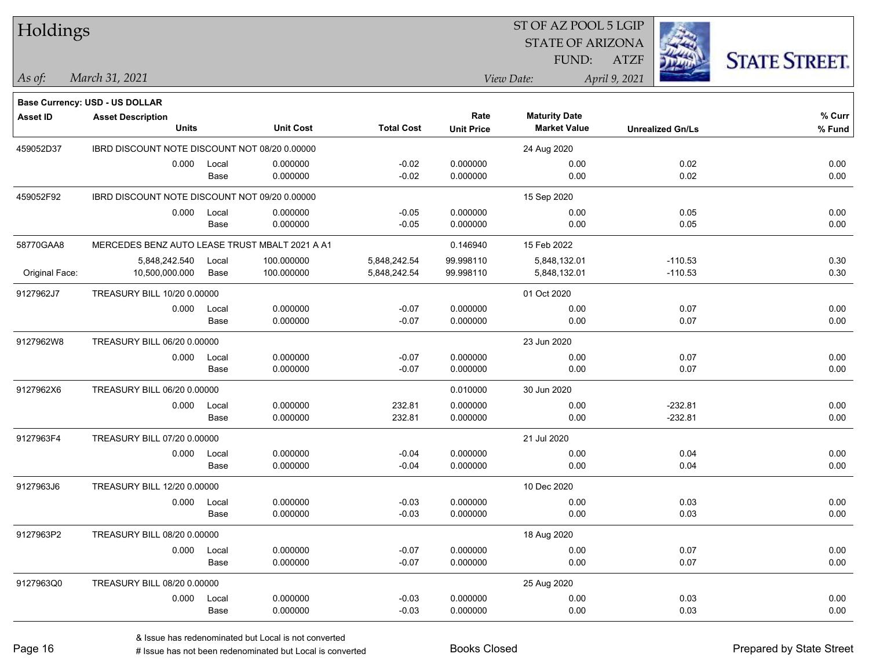| Holdings        |                                                            |       |                  |                   | ST OF AZ POOL 5 LGIP |                         |                         |                     |  |  |
|-----------------|------------------------------------------------------------|-------|------------------|-------------------|----------------------|-------------------------|-------------------------|---------------------|--|--|
|                 |                                                            |       |                  |                   |                      | <b>STATE OF ARIZONA</b> |                         |                     |  |  |
|                 |                                                            |       |                  |                   |                      | FUND:                   | <b>ATZF</b>             | <b>STATE STREET</b> |  |  |
| $ $ As of:      | March 31, 2021                                             |       |                  |                   |                      | View Date:              | April 9, 2021           |                     |  |  |
|                 |                                                            |       |                  |                   |                      |                         |                         |                     |  |  |
| <b>Asset ID</b> | Base Currency: USD - US DOLLAR<br><b>Asset Description</b> |       |                  |                   | Rate                 | <b>Maturity Date</b>    |                         | % Curr              |  |  |
|                 | <b>Units</b>                                               |       | <b>Unit Cost</b> | <b>Total Cost</b> | <b>Unit Price</b>    | <b>Market Value</b>     | <b>Unrealized Gn/Ls</b> | % Fund              |  |  |
| 459052D37       | IBRD DISCOUNT NOTE DISCOUNT NOT 08/20 0.00000              |       |                  |                   |                      | 24 Aug 2020             |                         |                     |  |  |
|                 | 0.000                                                      | Local | 0.000000         | $-0.02$           | 0.000000             | 0.00                    | 0.02                    | 0.00                |  |  |
|                 |                                                            | Base  | 0.000000         | $-0.02$           | 0.000000             | 0.00                    | 0.02                    | 0.00                |  |  |
| 459052F92       | IBRD DISCOUNT NOTE DISCOUNT NOT 09/20 0.00000              |       |                  |                   |                      | 15 Sep 2020             |                         |                     |  |  |
|                 | 0.000                                                      | Local | 0.000000         | $-0.05$           | 0.000000             | 0.00                    | 0.05                    | 0.00                |  |  |
|                 |                                                            | Base  | 0.000000         | $-0.05$           | 0.000000             | 0.00                    | 0.05                    | 0.00                |  |  |
| 58770GAA8       | MERCEDES BENZ AUTO LEASE TRUST MBALT 2021 A A1             |       |                  |                   | 0.146940             | 15 Feb 2022             |                         |                     |  |  |
|                 | 5,848,242.540                                              | Local | 100.000000       | 5,848,242.54      | 99.998110            | 5,848,132.01            | $-110.53$               | 0.30                |  |  |
| Original Face:  | 10,500,000.000                                             | Base  | 100.000000       | 5,848,242.54      | 99.998110            | 5,848,132.01            | $-110.53$               | 0.30                |  |  |
| 9127962J7       | TREASURY BILL 10/20 0.00000                                |       |                  |                   |                      | 01 Oct 2020             |                         |                     |  |  |
|                 | 0.000                                                      | Local | 0.000000         | $-0.07$           | 0.000000             | 0.00                    | 0.07                    | 0.00                |  |  |
|                 |                                                            | Base  | 0.000000         | $-0.07$           | 0.000000             | 0.00                    | 0.07                    | 0.00                |  |  |
| 9127962W8       | TREASURY BILL 06/20 0.00000                                |       |                  |                   |                      | 23 Jun 2020             |                         |                     |  |  |
|                 | 0.000                                                      | Local | 0.000000         | $-0.07$           | 0.000000             | 0.00                    | 0.07                    | 0.00                |  |  |
|                 |                                                            | Base  | 0.000000         | $-0.07$           | 0.000000             | 0.00                    | 0.07                    | 0.00                |  |  |
| 9127962X6       | TREASURY BILL 06/20 0.00000                                |       |                  |                   | 0.010000             | 30 Jun 2020             |                         |                     |  |  |
|                 | 0.000                                                      | Local | 0.000000         | 232.81            | 0.000000             | 0.00                    | $-232.81$               | 0.00                |  |  |
|                 |                                                            | Base  | 0.000000         | 232.81            | 0.000000             | 0.00                    | $-232.81$               | 0.00                |  |  |
| 9127963F4       | TREASURY BILL 07/20 0.00000                                |       |                  |                   |                      | 21 Jul 2020             |                         |                     |  |  |
|                 | 0.000                                                      | Local | 0.000000         | $-0.04$           | 0.000000             | 0.00                    | 0.04                    | 0.00                |  |  |
|                 |                                                            | Base  | 0.000000         | $-0.04$           | 0.000000             | 0.00                    | 0.04                    | 0.00                |  |  |
| 9127963J6       | TREASURY BILL 12/20 0.00000                                |       |                  |                   |                      | 10 Dec 2020             |                         |                     |  |  |
|                 | 0.000                                                      | Local | 0.000000         | $-0.03$           | 0.000000             | 0.00                    | 0.03                    | 0.00                |  |  |
|                 |                                                            | Base  | 0.000000         | $-0.03$           | 0.000000             | 0.00                    | 0.03                    | 0.00                |  |  |
| 9127963P2       | TREASURY BILL 08/20 0.00000                                |       |                  |                   |                      | 18 Aug 2020             |                         |                     |  |  |
|                 | 0.000                                                      | Local | 0.000000         | $-0.07$           | 0.000000             | 0.00                    | 0.07                    | 0.00                |  |  |
|                 |                                                            | Base  | 0.000000         | $-0.07$           | 0.000000             | 0.00                    | 0.07                    | 0.00                |  |  |
| 9127963Q0       | TREASURY BILL 08/20 0.00000                                |       |                  |                   |                      | 25 Aug 2020             |                         |                     |  |  |
|                 | 0.000                                                      | Local | 0.000000         | $-0.03$           | 0.000000             | 0.00                    | 0.03                    | 0.00                |  |  |
|                 |                                                            | Base  | 0.000000         | $-0.03$           | 0.000000             | 0.00                    | 0.03                    | 0.00                |  |  |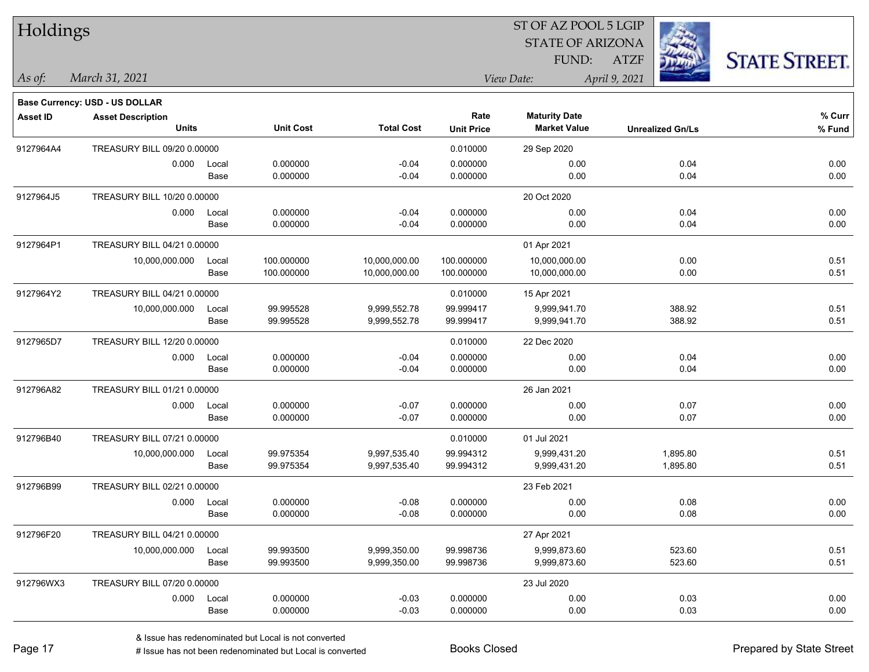| Holdings        |                                          |       |                  |                   |                   | ST OF AZ POOL 5 LGIP    |                         |                      |
|-----------------|------------------------------------------|-------|------------------|-------------------|-------------------|-------------------------|-------------------------|----------------------|
|                 |                                          |       |                  |                   |                   | <b>STATE OF ARIZONA</b> |                         |                      |
|                 |                                          |       |                  |                   |                   | FUND:                   | ATZF                    | <b>STATE STREET.</b> |
| As of:          | March 31, 2021                           |       |                  |                   |                   | View Date:              | April 9, 2021           |                      |
|                 |                                          |       |                  |                   |                   |                         |                         |                      |
|                 | <b>Base Currency: USD - US DOLLAR</b>    |       |                  |                   | Rate              | <b>Maturity Date</b>    |                         | % Curr               |
| <b>Asset ID</b> | <b>Asset Description</b><br><b>Units</b> |       | <b>Unit Cost</b> | <b>Total Cost</b> | <b>Unit Price</b> | <b>Market Value</b>     | <b>Unrealized Gn/Ls</b> | % Fund               |
| 9127964A4       | TREASURY BILL 09/20 0.00000              |       |                  |                   | 0.010000          | 29 Sep 2020             |                         |                      |
|                 | 0.000                                    | Local | 0.000000         | $-0.04$           | 0.000000          | 0.00                    | 0.04                    | 0.00                 |
|                 |                                          | Base  | 0.000000         | $-0.04$           | 0.000000          | 0.00                    | 0.04                    | 0.00                 |
| 9127964J5       | TREASURY BILL 10/20 0.00000              |       |                  |                   |                   | 20 Oct 2020             |                         |                      |
|                 | 0.000                                    | Local | 0.000000         | $-0.04$           | 0.000000          | 0.00                    | 0.04                    | 0.00                 |
|                 |                                          | Base  | 0.000000         | $-0.04$           | 0.000000          | 0.00                    | 0.04                    | 0.00                 |
| 9127964P1       | TREASURY BILL 04/21 0.00000              |       |                  |                   |                   | 01 Apr 2021             |                         |                      |
|                 | 10,000,000.000                           | Local | 100.000000       | 10,000,000.00     | 100.000000        | 10,000,000.00           | 0.00                    | 0.51                 |
|                 |                                          | Base  | 100.000000       | 10,000,000.00     | 100.000000        | 10,000,000.00           | 0.00                    | 0.51                 |
| 9127964Y2       | TREASURY BILL 04/21 0.00000              |       |                  |                   | 0.010000          | 15 Apr 2021             |                         |                      |
|                 | 10,000,000.000                           | Local | 99.995528        | 9,999,552.78      | 99.999417         | 9,999,941.70            | 388.92                  | 0.51                 |
|                 |                                          | Base  | 99.995528        | 9,999,552.78      | 99.999417         | 9,999,941.70            | 388.92                  | 0.51                 |
| 9127965D7       | TREASURY BILL 12/20 0.00000              |       |                  |                   | 0.010000          | 22 Dec 2020             |                         |                      |
|                 | 0.000                                    | Local | 0.000000         | $-0.04$           | 0.000000          | 0.00                    | 0.04                    | 0.00                 |
|                 |                                          | Base  | 0.000000         | $-0.04$           | 0.000000          | 0.00                    | 0.04                    | 0.00                 |
| 912796A82       | TREASURY BILL 01/21 0.00000              |       |                  |                   |                   | 26 Jan 2021             |                         |                      |
|                 | 0.000                                    | Local | 0.000000         | $-0.07$           | 0.000000          | 0.00                    | 0.07                    | 0.00                 |
|                 |                                          | Base  | 0.000000         | $-0.07$           | 0.000000          | 0.00                    | 0.07                    | 0.00                 |
| 912796B40       | TREASURY BILL 07/21 0.00000              |       |                  |                   | 0.010000          | 01 Jul 2021             |                         |                      |
|                 | 10,000,000.000                           | Local | 99.975354        | 9,997,535.40      | 99.994312         | 9,999,431.20            | 1,895.80                | 0.51                 |
|                 |                                          | Base  | 99.975354        | 9,997,535.40      | 99.994312         | 9,999,431.20            | 1,895.80                | 0.51                 |
| 912796B99       | TREASURY BILL 02/21 0.00000              |       |                  |                   |                   | 23 Feb 2021             |                         |                      |
|                 | 0.000                                    | Local | 0.000000         | $-0.08$           | 0.000000          | 0.00                    | 0.08                    | 0.00                 |
|                 |                                          | Base  | 0.000000         | $-0.08$           | 0.000000          | 0.00                    | 0.08                    | 0.00                 |
| 912796F20       | TREASURY BILL 04/21 0.00000              |       |                  |                   |                   | 27 Apr 2021             |                         |                      |
|                 | 10,000,000.000                           | Local | 99.993500        | 9,999,350.00      | 99.998736         | 9,999,873.60            | 523.60                  | 0.51                 |
|                 |                                          | Base  | 99.993500        | 9,999,350.00      | 99.998736         | 9,999,873.60            | 523.60                  | 0.51                 |
| 912796WX3       | TREASURY BILL 07/20 0.00000              |       |                  |                   |                   | 23 Jul 2020             |                         |                      |
|                 | 0.000                                    | Local | 0.000000         | $-0.03$           | 0.000000          | 0.00                    | 0.03                    | 0.00                 |
|                 |                                          | Base  | 0.000000         | $-0.03$           | 0.000000          | 0.00                    | 0.03                    | 0.00                 |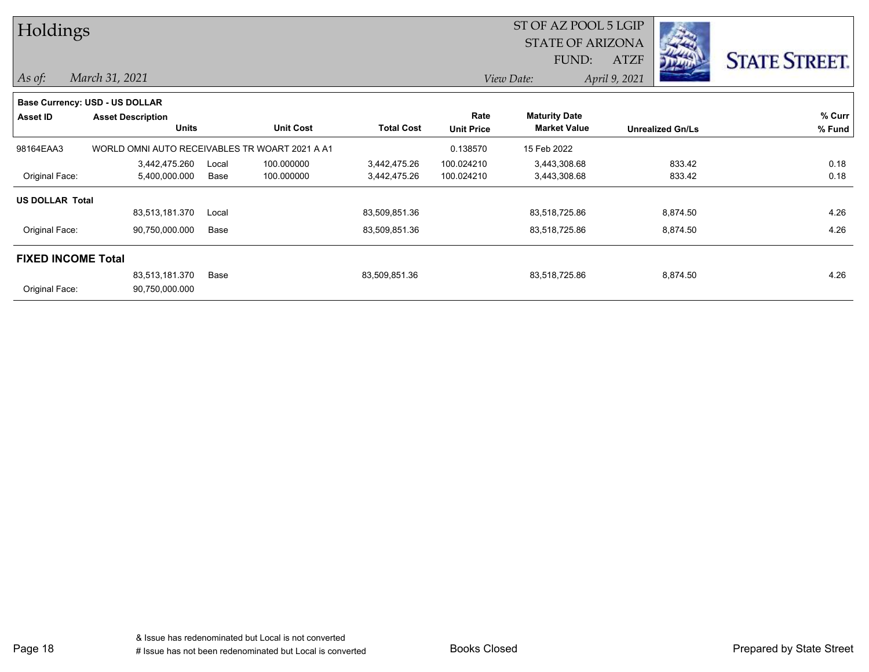| Holdings                  |                                                |       |                  |                   |                         | ST OF AZ POOL 5 LGIP |               |                         |                      |
|---------------------------|------------------------------------------------|-------|------------------|-------------------|-------------------------|----------------------|---------------|-------------------------|----------------------|
|                           |                                                |       |                  |                   | <b>STATE OF ARIZONA</b> |                      |               |                         |                      |
|                           |                                                |       |                  |                   |                         | FUND:                | ATZF          |                         | <b>STATE STREET.</b> |
| As of:                    | March 31, 2021                                 |       |                  |                   |                         | View Date:           | April 9, 2021 |                         |                      |
|                           | <b>Base Currency: USD - US DOLLAR</b>          |       |                  |                   |                         |                      |               |                         |                      |
| <b>Asset ID</b>           | <b>Asset Description</b>                       |       |                  |                   | Rate                    | <b>Maturity Date</b> |               |                         | % Curr               |
|                           | <b>Units</b>                                   |       | <b>Unit Cost</b> | <b>Total Cost</b> | <b>Unit Price</b>       | <b>Market Value</b>  |               | <b>Unrealized Gn/Ls</b> | % Fund               |
| 98164EAA3                 | WORLD OMNI AUTO RECEIVABLES TR WOART 2021 A A1 |       |                  |                   | 0.138570                | 15 Feb 2022          |               |                         |                      |
|                           | 3,442,475.260                                  | Local | 100.000000       | 3,442,475.26      | 100.024210              | 3,443,308.68         |               | 833.42                  | 0.18                 |
| Original Face:            | 5,400,000.000                                  | Base  | 100.000000       | 3,442,475.26      | 100.024210              | 3,443,308.68         |               | 833.42                  | 0.18                 |
| <b>US DOLLAR Total</b>    |                                                |       |                  |                   |                         |                      |               |                         |                      |
|                           | 83,513,181.370                                 | Local |                  | 83,509,851.36     |                         | 83,518,725.86        |               | 8,874.50                | 4.26                 |
| Original Face:            | 90,750,000.000                                 | Base  |                  | 83,509,851.36     |                         | 83,518,725.86        |               | 8,874.50                | 4.26                 |
| <b>FIXED INCOME Total</b> |                                                |       |                  |                   |                         |                      |               |                         |                      |
|                           | 83,513,181.370                                 | Base  |                  | 83,509,851.36     |                         | 83,518,725.86        |               | 8,874.50                | 4.26                 |
| Original Face:            | 90,750,000.000                                 |       |                  |                   |                         |                      |               |                         |                      |

Page 18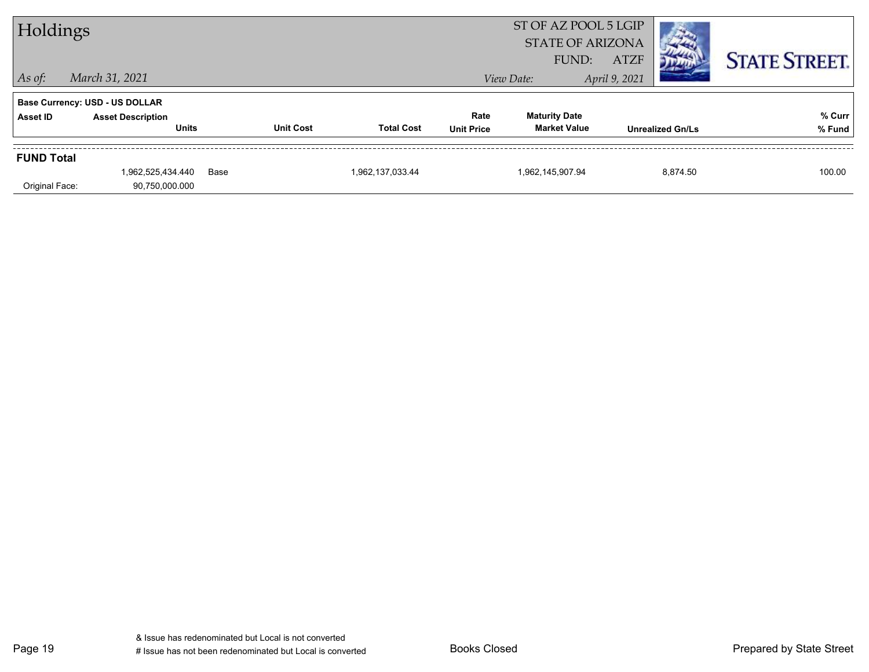| Holdings          |                                          |      |                  |                   |                           | ST OF AZ POOL 5 LGIP<br><b>STATE OF ARIZONA</b> |               |                         |                      |
|-------------------|------------------------------------------|------|------------------|-------------------|---------------------------|-------------------------------------------------|---------------|-------------------------|----------------------|
|                   |                                          |      |                  |                   |                           | FUND:                                           | <b>ATZF</b>   |                         | <b>STATE STREET.</b> |
| $\vert$ As of:    | March 31, 2021                           |      |                  |                   |                           | View Date:                                      | April 9, 2021 |                         |                      |
|                   | <b>Base Currency: USD - US DOLLAR</b>    |      |                  |                   |                           |                                                 |               |                         |                      |
| Asset ID          | <b>Asset Description</b><br><b>Units</b> |      | <b>Unit Cost</b> | <b>Total Cost</b> | Rate<br><b>Unit Price</b> | <b>Maturity Date</b><br><b>Market Value</b>     |               | <b>Unrealized Gn/Ls</b> | % Curr<br>% Fund     |
|                   |                                          |      |                  |                   |                           |                                                 |               |                         |                      |
| <b>FUND Total</b> |                                          |      |                  |                   |                           |                                                 |               |                         |                      |
|                   | 1,962,525,434.440                        | Base |                  | 1,962,137,033.44  |                           | 1,962,145,907.94                                |               | 8,874.50                | 100.00               |
| Original Face:    | 90,750,000.000                           |      |                  |                   |                           |                                                 |               |                         |                      |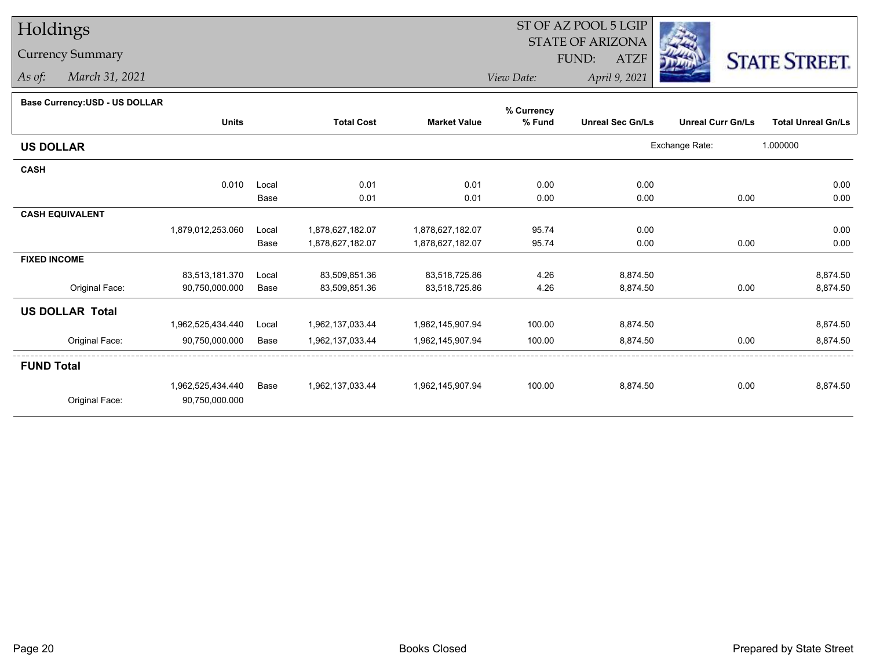## Holdings

## Currency Summary

*As of: March 31, 2021*

## ST OF AZ POOL 5 LGIP STATE OF ARIZONAATZF FUND:



*View Date:April 9, 2021*

## **Base Currency:USD - US DOLLAR**

| Dase Currency: USD - US DULLAR | <b>Units</b>      |       | <b>Total Cost</b> | <b>Market Value</b> | % Currency<br>% Fund | <b>Unreal Sec Gn/Ls</b> | <b>Unreal Curr Gn/Ls</b> | <b>Total Unreal Gn/Ls</b> |
|--------------------------------|-------------------|-------|-------------------|---------------------|----------------------|-------------------------|--------------------------|---------------------------|
| <b>US DOLLAR</b>               |                   |       |                   |                     |                      |                         | Exchange Rate:           | 1.000000                  |
| <b>CASH</b>                    |                   |       |                   |                     |                      |                         |                          |                           |
|                                | 0.010             | Local | 0.01              | 0.01                | 0.00                 | 0.00                    |                          | 0.00                      |
|                                |                   | Base  | 0.01              | 0.01                | 0.00                 | 0.00                    | 0.00                     | 0.00                      |
| <b>CASH EQUIVALENT</b>         |                   |       |                   |                     |                      |                         |                          |                           |
|                                | 1,879,012,253.060 | Local | 1,878,627,182.07  | 1,878,627,182.07    | 95.74                | 0.00                    |                          | 0.00                      |
|                                |                   | Base  | 1,878,627,182.07  | 1,878,627,182.07    | 95.74                | 0.00                    | 0.00                     | 0.00                      |
| <b>FIXED INCOME</b>            |                   |       |                   |                     |                      |                         |                          |                           |
|                                | 83,513,181.370    | Local | 83,509,851.36     | 83,518,725.86       | 4.26                 | 8,874.50                |                          | 8,874.50                  |
| Original Face:                 | 90,750,000.000    | Base  | 83,509,851.36     | 83,518,725.86       | 4.26                 | 8,874.50                | 0.00                     | 8,874.50                  |
| <b>US DOLLAR Total</b>         |                   |       |                   |                     |                      |                         |                          |                           |
|                                | 1,962,525,434.440 | Local | 1,962,137,033.44  | 1,962,145,907.94    | 100.00               | 8,874.50                |                          | 8,874.50                  |
| Original Face:                 | 90,750,000.000    | Base  | 1,962,137,033.44  | 1,962,145,907.94    | 100.00               | 8,874.50                | 0.00                     | 8,874.50                  |
| <b>FUND Total</b>              |                   |       |                   |                     |                      |                         |                          |                           |
|                                | 1,962,525,434.440 | Base  | 1,962,137,033.44  | 1,962,145,907.94    | 100.00               | 8,874.50                | 0.00                     | 8,874.50                  |
| Original Face:                 | 90,750,000.000    |       |                   |                     |                      |                         |                          |                           |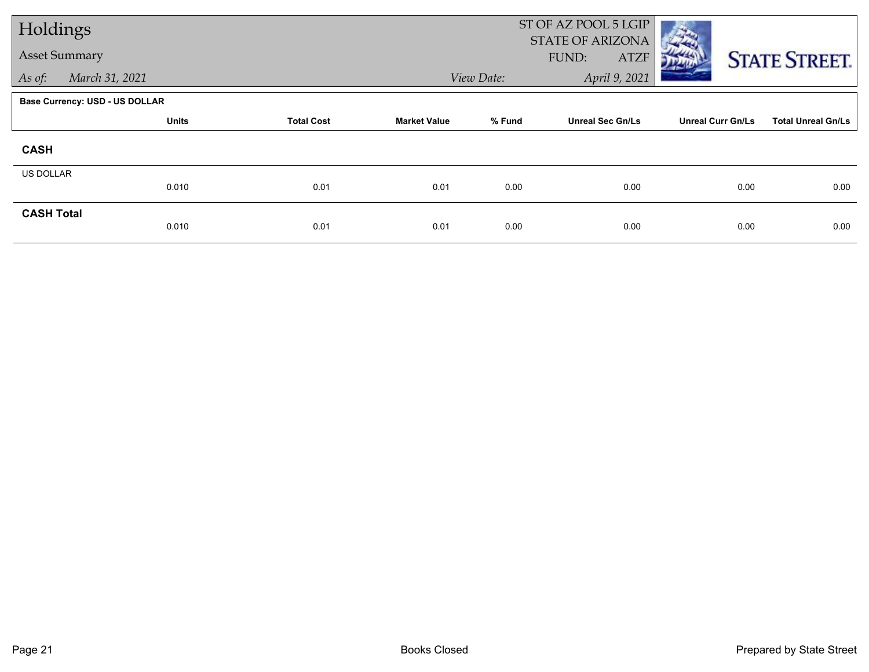| Holdings             |                                       |                   |                     |            | ST OF AZ POOL 5 LGIP<br><b>STATE OF ARIZONA</b> |                          |                           |
|----------------------|---------------------------------------|-------------------|---------------------|------------|-------------------------------------------------|--------------------------|---------------------------|
| <b>Asset Summary</b> |                                       |                   |                     |            | <b>ATZF</b><br>FUND:                            |                          | <b>STATE STREET.</b>      |
| As of:               | March 31, 2021                        |                   |                     | View Date: | April 9, 2021                                   |                          |                           |
|                      | <b>Base Currency: USD - US DOLLAR</b> |                   |                     |            |                                                 |                          |                           |
|                      | <b>Units</b>                          | <b>Total Cost</b> | <b>Market Value</b> | % Fund     | <b>Unreal Sec Gn/Ls</b>                         | <b>Unreal Curr Gn/Ls</b> | <b>Total Unreal Gn/Ls</b> |
| <b>CASH</b>          |                                       |                   |                     |            |                                                 |                          |                           |
| US DOLLAR            |                                       |                   |                     |            |                                                 |                          |                           |
|                      | 0.010                                 | 0.01              | 0.01                | 0.00       | 0.00                                            | 0.00                     | 0.00                      |
| <b>CASH Total</b>    | 0.010                                 | 0.01              | 0.01                | 0.00       | 0.00                                            | 0.00                     | 0.00                      |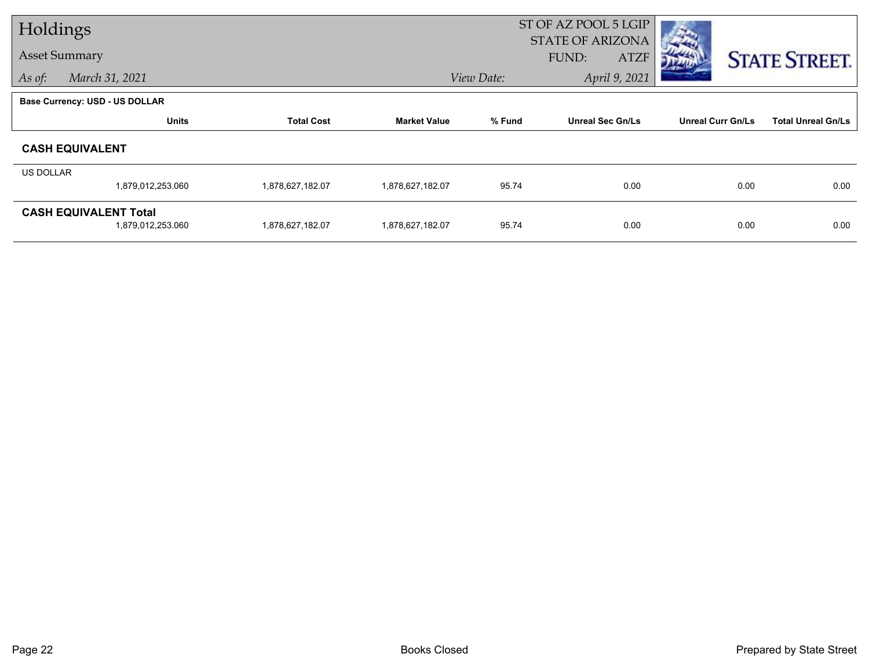|                      | Holdings                                          |                   |                     | ST OF AZ POOL 5 LGIP<br><b>STATE OF ARIZONA</b> |                         |                          |                           |  |
|----------------------|---------------------------------------------------|-------------------|---------------------|-------------------------------------------------|-------------------------|--------------------------|---------------------------|--|
| <b>Asset Summary</b> |                                                   |                   |                     |                                                 | FUND:<br><b>ATZF</b>    |                          | <b>STATE STREET.</b>      |  |
| As of:               | March 31, 2021                                    |                   |                     | View Date:                                      | April 9, 2021           |                          |                           |  |
|                      | Base Currency: USD - US DOLLAR                    |                   |                     |                                                 |                         |                          |                           |  |
|                      | <b>Units</b>                                      | <b>Total Cost</b> | <b>Market Value</b> | % Fund                                          | <b>Unreal Sec Gn/Ls</b> | <b>Unreal Curr Gn/Ls</b> | <b>Total Unreal Gn/Ls</b> |  |
|                      | <b>CASH EQUIVALENT</b>                            |                   |                     |                                                 |                         |                          |                           |  |
| US DOLLAR            |                                                   |                   |                     |                                                 |                         |                          |                           |  |
|                      | 1,879,012,253.060                                 | 1,878,627,182.07  | 1,878,627,182.07    | 95.74                                           | 0.00                    | 0.00                     | 0.00                      |  |
|                      | <b>CASH EQUIVALENT Total</b><br>1,879,012,253.060 | 1,878,627,182.07  | 1,878,627,182.07    | 95.74                                           | 0.00                    | 0.00                     | 0.00                      |  |
|                      |                                                   |                   |                     |                                                 |                         |                          |                           |  |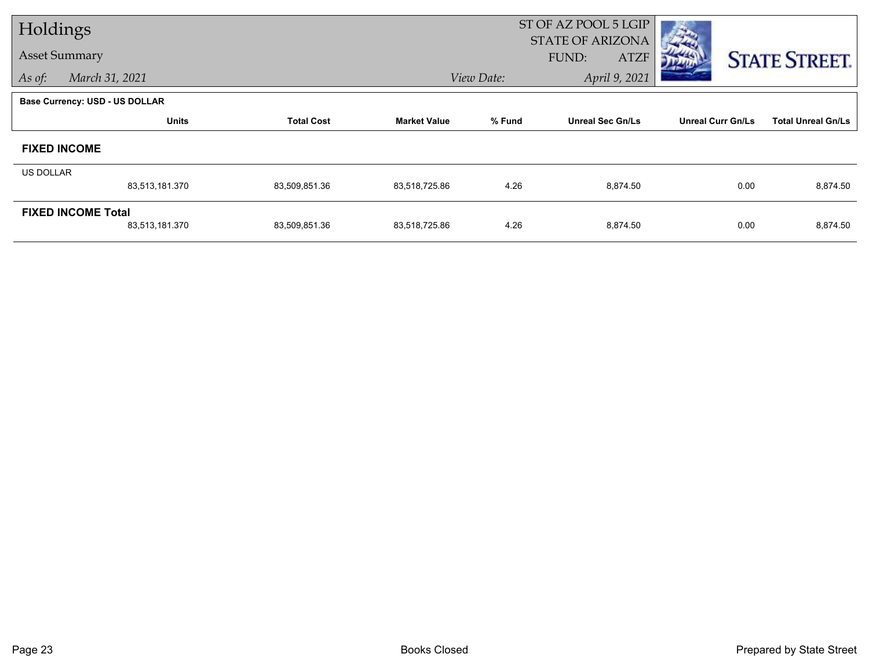| Holdings             |                                             |                   |                     | ST OF AZ POOL 5 LGIP<br><b>STATE OF ARIZONA</b> |                         |                          |                           |  |
|----------------------|---------------------------------------------|-------------------|---------------------|-------------------------------------------------|-------------------------|--------------------------|---------------------------|--|
| <b>Asset Summary</b> |                                             |                   |                     |                                                 | <b>ATZF</b><br>FUND:    |                          | <b>STATE STREET.</b>      |  |
| As of:               | March 31, 2021                              |                   |                     | View Date:                                      | April 9, 2021           |                          |                           |  |
|                      | <b>Base Currency: USD - US DOLLAR</b>       |                   |                     |                                                 |                         |                          |                           |  |
|                      | <b>Units</b>                                | <b>Total Cost</b> | <b>Market Value</b> | % Fund                                          | <b>Unreal Sec Gn/Ls</b> | <b>Unreal Curr Gn/Ls</b> | <b>Total Unreal Gn/Ls</b> |  |
| <b>FIXED INCOME</b>  |                                             |                   |                     |                                                 |                         |                          |                           |  |
| US DOLLAR            |                                             |                   |                     |                                                 |                         |                          |                           |  |
|                      | 83,513,181.370                              | 83,509,851.36     | 83,518,725.86       | 4.26                                            | 8,874.50                | 0.00                     | 8,874.50                  |  |
|                      | <b>FIXED INCOME Total</b><br>83,513,181.370 | 83,509,851.36     | 83,518,725.86       | 4.26                                            | 8,874.50                | 0.00                     | 8,874.50                  |  |
|                      |                                             |                   |                     |                                                 |                         |                          |                           |  |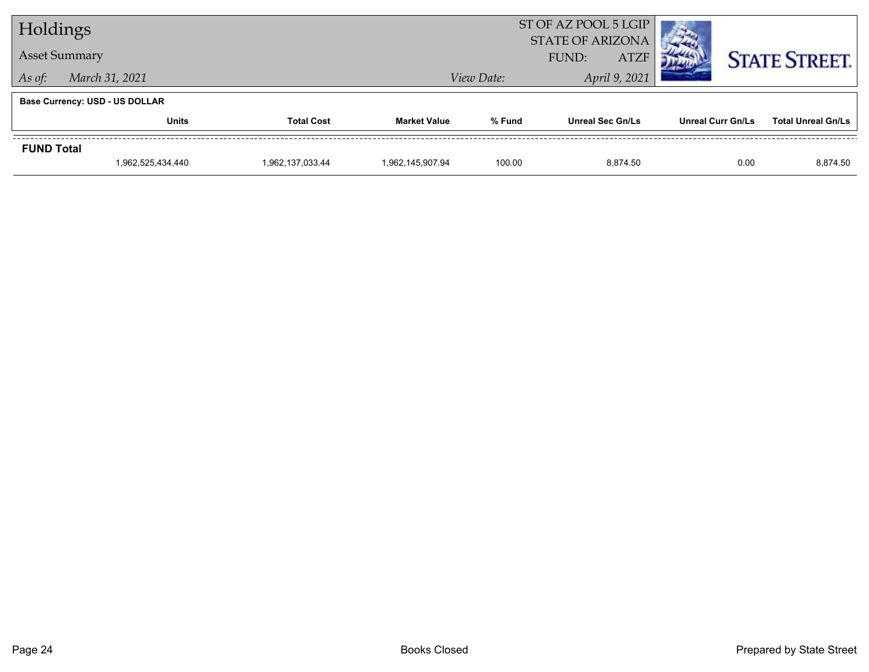| Holdings             |                                       |                   |                     |            | ST OF AZ POOL 5 LGIP<br><b>STATE OF ARIZONA</b> |                   |                           |
|----------------------|---------------------------------------|-------------------|---------------------|------------|-------------------------------------------------|-------------------|---------------------------|
| <b>Asset Summary</b> |                                       |                   |                     |            | <b>ATZF</b><br>FUND:                            |                   | <b>STATE STREET.</b>      |
| As of:               | March 31, 2021                        |                   |                     | View Date: | April 9, 2021                                   |                   |                           |
|                      | <b>Base Currency: USD - US DOLLAR</b> |                   |                     |            |                                                 |                   |                           |
|                      | <b>Units</b>                          | <b>Total Cost</b> | <b>Market Value</b> | % Fund     | <b>Unreal Sec Gn/Ls</b>                         | Unreal Curr Gn/Ls | <b>Total Unreal Gn/Ls</b> |
| <b>FUND Total</b>    |                                       |                   |                     |            |                                                 |                   |                           |
|                      | 1,962,525,434.440                     | 1,962,137,033.44  | 1.962.145.907.94    | 100.00     | 8.874.50                                        | 0.00              | 8,874.50                  |